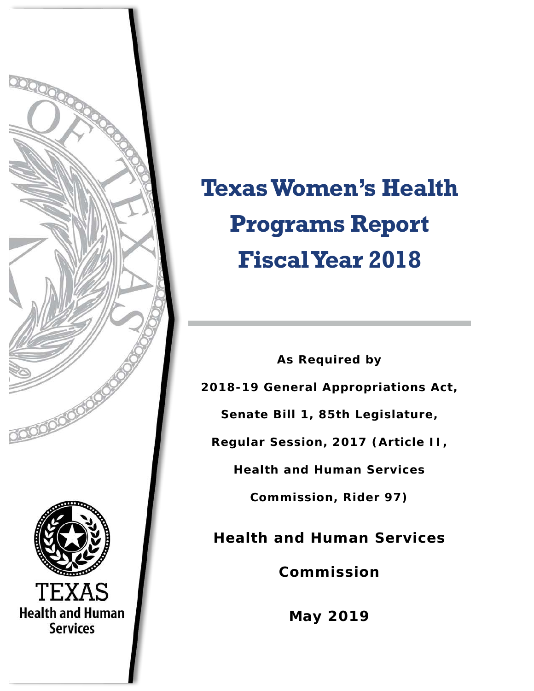

# **Texas Women's Health Programs Report Fiscal Year 2018**

**As Required by 2018-19 General Appropriations Act, Senate Bill 1, 85th Legislature, Regular Session, 2017 (Article II, Health and Human Services Commission, Rider 97) Health and Human Services Commission**

**May 2019**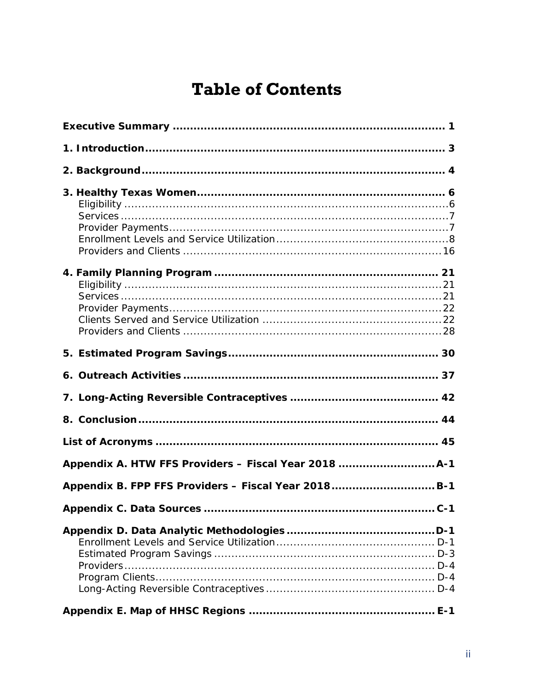# **Table of Contents**

| Appendix B. FPP FFS Providers - Fiscal Year 2018B-1 |  |  |  |
|-----------------------------------------------------|--|--|--|
| Appendix C. Data Sources<br>$C-1$                   |  |  |  |
|                                                     |  |  |  |
|                                                     |  |  |  |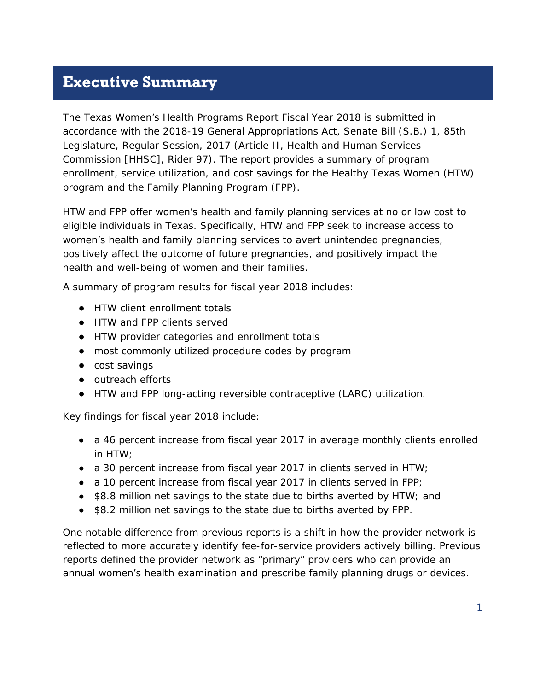#### <span id="page-2-0"></span>**Executive Summary**

The *Texas Women's Health Programs Report Fiscal Year 2018* is submitted in accordance with the 2018-19 General Appropriations Act, Senate Bill (S.B.) 1, 85th Legislature, Regular Session, 2017 (Article II, Health and Human Services Commission [HHSC], Rider 97). The report provides a summary of program enrollment, service utilization, and cost savings for the Healthy Texas Women (HTW) program and the Family Planning Program (FPP).

HTW and FPP offer women's health and family planning services at no or low cost to eligible individuals in Texas. Specifically, HTW and FPP seek to increase access to women's health and family planning services to avert unintended pregnancies, positively affect the outcome of future pregnancies, and positively impact the health and well-being of women and their families.

A summary of program results for fiscal year 2018 includes:

- HTW client enrollment totals
- HTW and FPP clients served
- HTW provider categories and enrollment totals
- most commonly utilized procedure codes by program
- cost savings
- outreach efforts
- HTW and FPP long-acting reversible contraceptive (LARC) utilization.

Key findings for fiscal year 2018 include:

- a 46 percent increase from fiscal year 2017 in average monthly clients enrolled in HTW;
- a 30 percent increase from fiscal year 2017 in clients served in HTW;
- $\bullet$  a 10 percent increase from fiscal year 2017 in clients served in FPP;
- \$8.8 million net savings to the state due to births averted by HTW; and
- \$8.2 million net savings to the state due to births averted by FPP.

One notable difference from previous reports is a shift in how the provider network is reflected to more accurately identify fee-for-service providers actively billing. Previous reports defined the provider network as "primary" providers who can provide an annual women's health examination and prescribe family planning drugs or devices.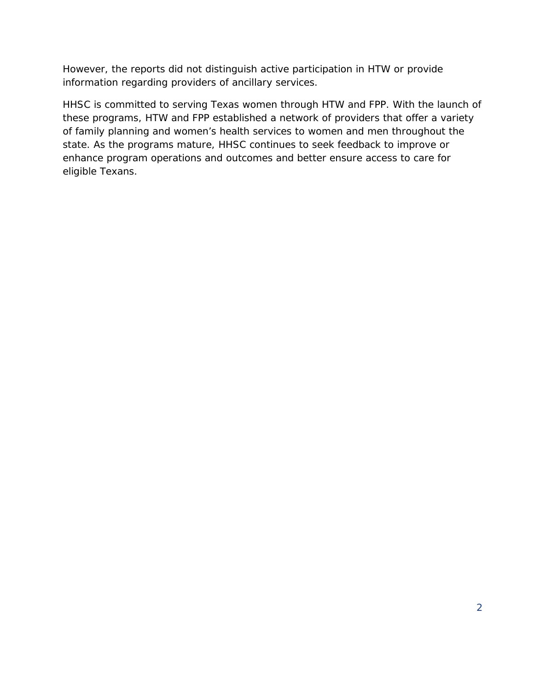However, the reports did not distinguish active participation in HTW or provide information regarding providers of ancillary services.

HHSC is committed to serving Texas women through HTW and FPP. With the launch of these programs, HTW and FPP established a network of providers that offer a variety of family planning and women's health services to women and men throughout the state. As the programs mature, HHSC continues to seek feedback to improve or enhance program operations and outcomes and better ensure access to care for eligible Texans.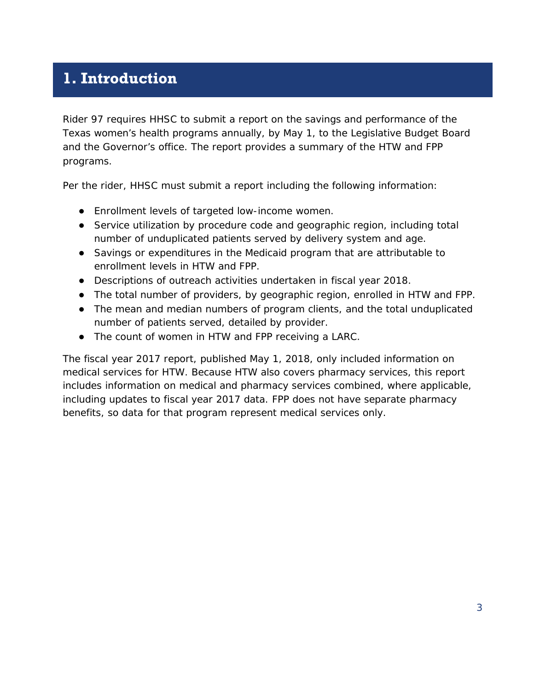### <span id="page-4-0"></span>**1. Introduction**

Rider 97 requires HHSC to submit a report on the savings and performance of the Texas women's health programs annually, by May 1, to the Legislative Budget Board and the Governor's office. The report provides a summary of the HTW and FPP programs.

Per the rider, HHSC must submit a report including the following information:

- Enrollment levels of targeted low-income women.
- Service utilization by procedure code and geographic region, including total number of unduplicated patients served by delivery system and age.
- Savings or expenditures in the Medicaid program that are attributable to enrollment levels in HTW and FPP.
- Descriptions of outreach activities undertaken in fiscal year 2018.
- The total number of providers, by geographic region, enrolled in HTW and FPP.
- The mean and median numbers of program clients, and the total unduplicated number of patients served, detailed by provider.
- The count of women in HTW and FPP receiving a LARC.

The fiscal year 2017 report, published May 1, 2018, only included information on medical services for HTW. Because HTW also covers pharmacy services, this report includes information on medical and pharmacy services combined, where applicable, including updates to fiscal year 2017 data. FPP does not have separate pharmacy benefits, so data for that program represent medical services only.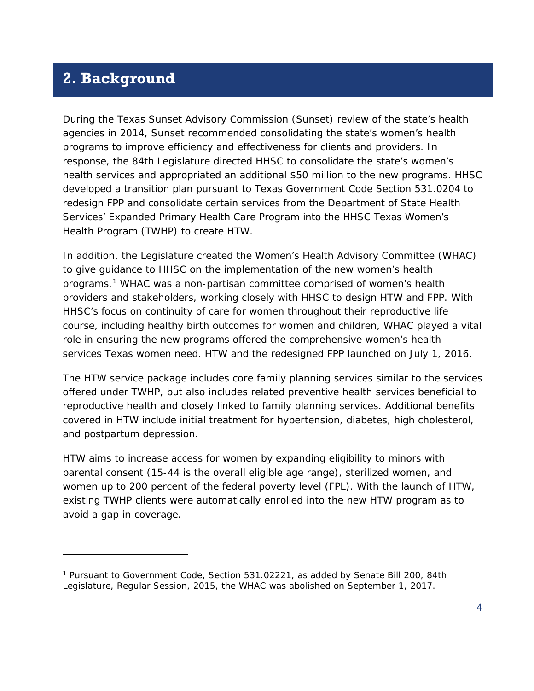#### <span id="page-5-0"></span>**2. Background**

1

During the Texas Sunset Advisory Commission (Sunset) review of the state's health agencies in 2014, Sunset recommended consolidating the state's women's health programs to improve efficiency and effectiveness for clients and providers. In response, the 84th Legislature directed HHSC to consolidate the state's women's health services and appropriated an additional \$50 million to the new programs. HHSC developed a transition plan pursuant to Texas Government Code Section 531.0204 to redesign FPP and consolidate certain services from the Department of State Health Services' Expanded Primary Health Care Program into the HHSC Texas Women's Health Program (TWHP) to create HTW.

In addition, the Legislature created the Women's Health Advisory Committee (WHAC) to give guidance to HHSC on the implementation of the new women's health programs.[1](#page-5-1) WHAC was a non-partisan committee comprised of women's health providers and stakeholders, working closely with HHSC to design HTW and FPP. With HHSC's focus on continuity of care for women throughout their reproductive life course, including healthy birth outcomes for women and children, WHAC played a vital role in ensuring the new programs offered the comprehensive women's health services Texas women need. HTW and the redesigned FPP launched on July 1, 2016.

The HTW service package includes core family planning services similar to the services offered under TWHP, but also includes related preventive health services beneficial to reproductive health and closely linked to family planning services. Additional benefits covered in HTW include initial treatment for hypertension, diabetes, high cholesterol, and postpartum depression.

HTW aims to increase access for women by expanding eligibility to minors with parental consent (15-44 is the overall eligible age range), sterilized women, and women up to 200 percent of the federal poverty level (FPL). With the launch of HTW, existing TWHP clients were automatically enrolled into the new HTW program as to avoid a gap in coverage.

<span id="page-5-1"></span><sup>1</sup> Pursuant to Government Code, Section 531.02221, as added by Senate Bill 200, 84th Legislature, Regular Session, 2015, the WHAC was abolished on September 1, 2017.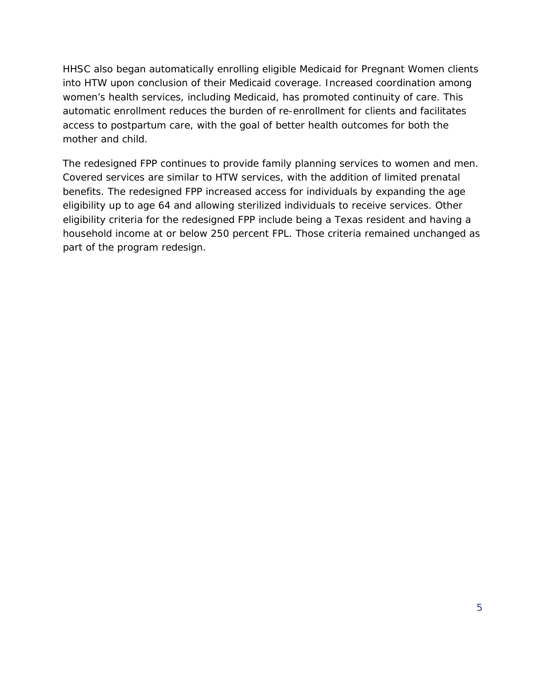HHSC also began automatically enrolling eligible Medicaid for Pregnant Women clients into HTW upon conclusion of their Medicaid coverage. Increased coordination among women's health services, including Medicaid, has promoted continuity of care. This automatic enrollment reduces the burden of re-enrollment for clients and facilitates access to postpartum care, with the goal of better health outcomes for both the mother and child.

The redesigned FPP continues to provide family planning services to women and men. Covered services are similar to HTW services, with the addition of limited prenatal benefits. The redesigned FPP increased access for individuals by expanding the age eligibility up to age 64 and allowing sterilized individuals to receive services. Other eligibility criteria for the redesigned FPP include being a Texas resident and having a household income at or below 250 percent FPL. Those criteria remained unchanged as part of the program redesign.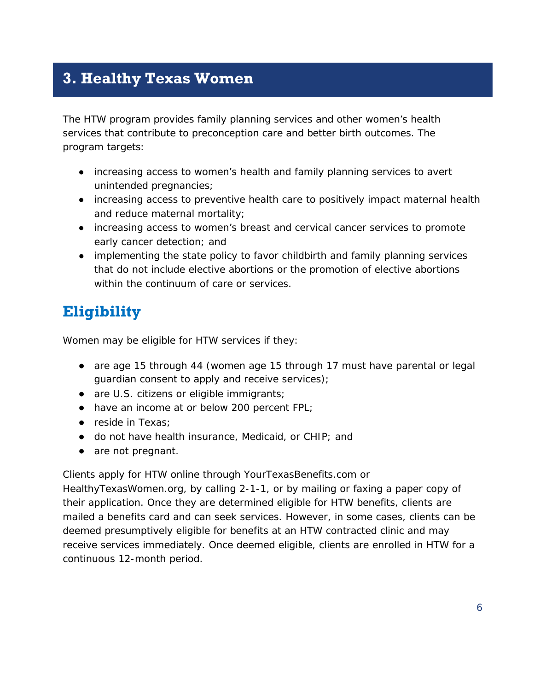### <span id="page-7-0"></span>**3. Healthy Texas Women**

The HTW program provides family planning services and other women's health services that contribute to preconception care and better birth outcomes. The program targets:

- increasing access to women's health and family planning services to avert unintended pregnancies;
- increasing access to preventive health care to positively impact maternal health and reduce maternal mortality;
- increasing access to women's breast and cervical cancer services to promote early cancer detection; and
- implementing the state policy to favor childbirth and family planning services that do not include elective abortions or the promotion of elective abortions within the continuum of care or services.

# <span id="page-7-1"></span>**Eligibility**

Women may be eligible for HTW services if they:

- are age 15 through 44 (women age 15 through 17 must have parental or legal guardian consent to apply and receive services);
- are U.S. citizens or eligible immigrants;
- have an income at or below 200 percent FPL;
- reside in Texas;
- do not have health insurance, Medicaid, or CHIP; and
- are not pregnant.

Clients apply for HTW online through YourTexasBenefits.com or

HealthyTexasWomen.org, by calling 2-1-1, or by mailing or faxing a paper copy of their application. Once they are determined eligible for HTW benefits, clients are mailed a benefits card and can seek services. However, in some cases, clients can be deemed presumptively eligible for benefits at an HTW contracted clinic and may receive services immediately. Once deemed eligible, clients are enrolled in HTW for a continuous 12-month period.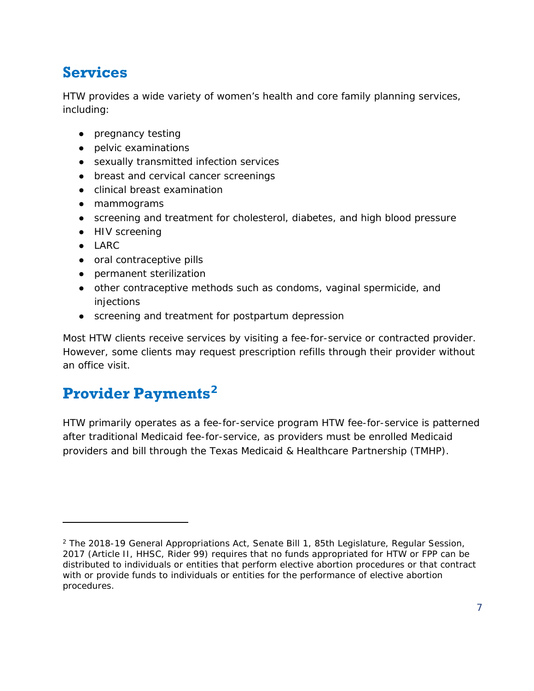# <span id="page-8-0"></span>**Services**

HTW provides a wide variety of women's health and core family planning services, including:

- pregnancy testing
- pelvic examinations
- sexually transmitted infection services
- breast and cervical cancer screenings
- clinical breast examination
- mammograms
- screening and treatment for cholesterol, diabetes, and high blood pressure
- HIV screening
- LARC

l

- oral contraceptive pills
- permanent sterilization
- other contraceptive methods such as condoms, vaginal spermicide, and injections
- screening and treatment for postpartum depression

Most HTW clients receive services by visiting a fee-for-service or contracted provider. However, some clients may request prescription refills through their provider without an office visit.

# <span id="page-8-1"></span>**Provider Payments[2](#page-8-2)**

HTW primarily operates as a fee-for-service program HTW fee-for-service is patterned after traditional Medicaid fee-for-service, as providers must be enrolled Medicaid providers and bill through the Texas Medicaid & Healthcare Partnership (TMHP).

<span id="page-8-2"></span> $2$  The 2018-19 General Appropriations Act, Senate Bill 1, 85th Legislature, Regular Session, 2017 (Article II, HHSC, Rider 99) requires that no funds appropriated for HTW or FPP can be distributed to individuals or entities that perform elective abortion procedures or that contract with or provide funds to individuals or entities for the performance of elective abortion procedures.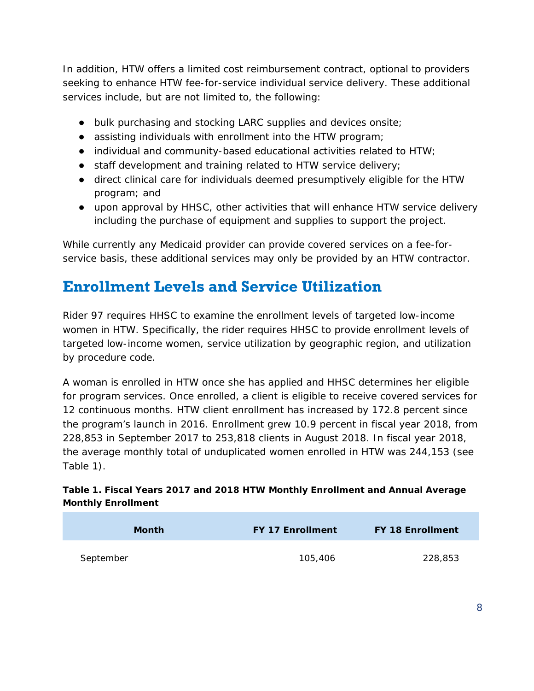In addition, HTW offers a limited cost reimbursement contract, optional to providers seeking to enhance HTW fee-for-service individual service delivery. These additional services include, but are not limited to, the following:

- bulk purchasing and stocking LARC supplies and devices onsite;
- assisting individuals with enrollment into the HTW program;
- individual and community-based educational activities related to HTW;
- staff development and training related to HTW service delivery;
- direct clinical care for individuals deemed presumptively eligible for the HTW program; and
- upon approval by HHSC, other activities that will enhance HTW service delivery including the purchase of equipment and supplies to support the project.

While currently any Medicaid provider can provide covered services on a fee-forservice basis, these additional services may only be provided by an HTW contractor.

### <span id="page-9-0"></span>**Enrollment Levels and Service Utilization**

Rider 97 requires HHSC to examine the enrollment levels of targeted low-income women in HTW. Specifically, the rider requires HHSC to provide enrollment levels of targeted low-income women, service utilization by geographic region, and utilization by procedure code.

A woman is enrolled in HTW once she has applied and HHSC determines her eligible for program services. Once enrolled, a client is eligible to receive covered services for 12 continuous months. HTW client enrollment has increased by 172.8 percent since the program's launch in 2016. Enrollment grew 10.9 percent in fiscal year 2018, from 228,853 in September 2017 to 253,818 clients in August 2018. In fiscal year 2018, the average monthly total of unduplicated women enrolled in HTW was 244,153 (see Table 1).

#### **Table 1. Fiscal Years 2017 and 2018 HTW Monthly Enrollment and Annual Average Monthly Enrollment**

| <b>Month</b> | <b>FY 17 Enrollment</b> | <b>FY 18 Enrollment</b> |
|--------------|-------------------------|-------------------------|
| September    | 105,406                 | 228,853                 |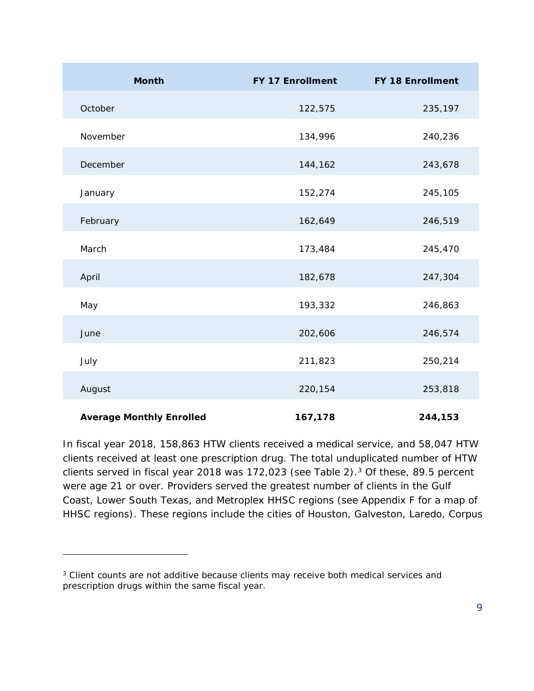| <b>Month</b>                    | <b>FY 17 Enrollment</b> | <b>FY 18 Enrollment</b> |
|---------------------------------|-------------------------|-------------------------|
| October                         | 122,575                 | 235,197                 |
| November                        | 134,996                 | 240,236                 |
| December                        | 144,162                 | 243,678                 |
| January                         | 152,274                 | 245,105                 |
| February                        | 162,649                 | 246,519                 |
| March                           | 173,484                 | 245,470                 |
| April                           | 182,678                 | 247,304                 |
| May                             | 193,332                 | 246,863                 |
| June                            | 202,606                 | 246,574                 |
| July                            | 211,823                 | 250,214                 |
| August                          | 220,154                 | 253,818                 |
| <b>Average Monthly Enrolled</b> | 167,178                 | 244,153                 |

In fiscal year 2018, 158,863 HTW clients received a medical service, and 58,047 HTW clients received at least one prescription drug. The total unduplicated number of HTW clients served in fiscal year 2018 was  $172,023$  $172,023$  (see Table 2).<sup>3</sup> Of these, 89.5 percent were age 21 or over. Providers served the greatest number of clients in the Gulf Coast, Lower South Texas, and Metroplex HHSC regions (see Appendix F for a map of HHSC regions). These regions include the cities of Houston, Galveston, Laredo, Corpus

1

<span id="page-10-0"></span><sup>&</sup>lt;sup>3</sup> Client counts are not additive because clients may receive both medical services and prescription drugs within the same fiscal year.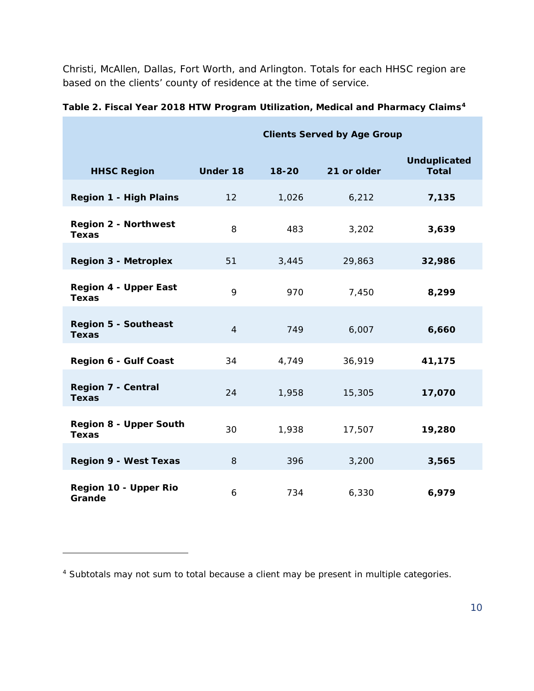Christi, McAllen, Dallas, Fort Worth, and Arlington. Totals for each HHSC region are based on the clients' county of residence at the time of service.

|                                               | <b>Clients Served by Age Group</b> |           |             |                                     |
|-----------------------------------------------|------------------------------------|-----------|-------------|-------------------------------------|
| <b>HHSC Region</b>                            | <b>Under 18</b>                    | $18 - 20$ | 21 or older | <b>Unduplicated</b><br><b>Total</b> |
| <b>Region 1 - High Plains</b>                 | 12                                 | 1,026     | 6,212       | 7,135                               |
| <b>Region 2 - Northwest</b><br><b>Texas</b>   | 8                                  | 483       | 3,202       | 3,639                               |
| <b>Region 3 - Metroplex</b>                   | 51                                 | 3,445     | 29,863      | 32,986                              |
| <b>Region 4 - Upper East</b><br><b>Texas</b>  | 9                                  | 970       | 7,450       | 8,299                               |
| <b>Region 5 - Southeast</b><br><b>Texas</b>   | $\overline{4}$                     | 749       | 6,007       | 6,660                               |
| <b>Region 6 - Gulf Coast</b>                  | 34                                 | 4,749     | 36,919      | 41,175                              |
| <b>Region 7 - Central</b><br><b>Texas</b>     | 24                                 | 1,958     | 15,305      | 17,070                              |
| <b>Region 8 - Upper South</b><br><b>Texas</b> | 30                                 | 1,938     | 17,507      | 19,280                              |
| <b>Region 9 - West Texas</b>                  | 8                                  | 396       | 3,200       | 3,565                               |
| Region 10 - Upper Rio<br>Grande               | 6                                  | 734       | 6,330       | 6,979                               |

**Table 2. Fiscal Year 2018 HTW Program Utilization, Medical and Pharmacy Claims[4](#page-11-0)**

l

<span id="page-11-0"></span><sup>4</sup> Subtotals may not sum to total because a client may be present in multiple categories.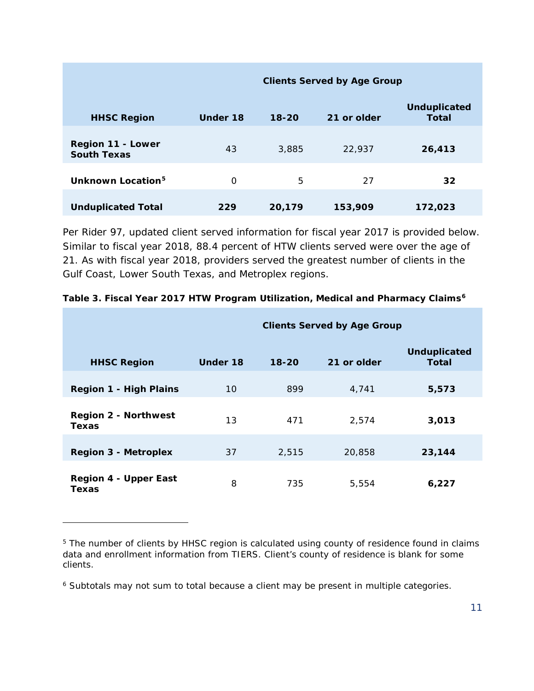**HHSC Region Clients Served by Age Group Under 18 18-20 21 or older Unduplicated Total Region 11 - Lower South Texas** <sup>43</sup> 3,885 22,937 **26,413 Unknown Location[5](#page-12-0)** 0 5 27 **32 Unduplicated Total 229 20,179 153,909 172,023**

Per Rider 97, updated client served information for fiscal year 2017 is provided below. Similar to fiscal year 2018, 88.4 percent of HTW clients served were over the age of 21. As with fiscal year 2018, providers served the greatest number of clients in the Gulf Coast, Lower South Texas, and Metroplex regions.

|                                             | <b>Clients Served by Age Group</b> |           |             |                              |
|---------------------------------------------|------------------------------------|-----------|-------------|------------------------------|
| <b>HHSC Region</b>                          | Under 18                           | $18 - 20$ | 21 or older | <b>Unduplicated</b><br>Total |
| <b>Region 1 - High Plains</b>               | 10                                 | 899       | 4,741       | 5,573                        |
| <b>Region 2 - Northwest</b><br><b>Texas</b> | 13                                 | 471       | 2,574       | 3,013                        |
| <b>Region 3 - Metroplex</b>                 | 37                                 | 2,515     | 20,858      | 23,144                       |
| <b>Region 4 - Upper East</b><br>Texas       | 8                                  | 735       | 5,554       | 6,227                        |

#### **Table 3. Fiscal Year 2017 HTW Program Utilization, Medical and Pharmacy Claims[6](#page-12-1)**

1

<span id="page-12-0"></span><sup>&</sup>lt;sup>5</sup> The number of clients by HHSC region is calculated using county of residence found in claims data and enrollment information from TIERS. Client's county of residence is blank for some clients.

<span id="page-12-1"></span><sup>&</sup>lt;sup>6</sup> Subtotals may not sum to total because a client may be present in multiple categories.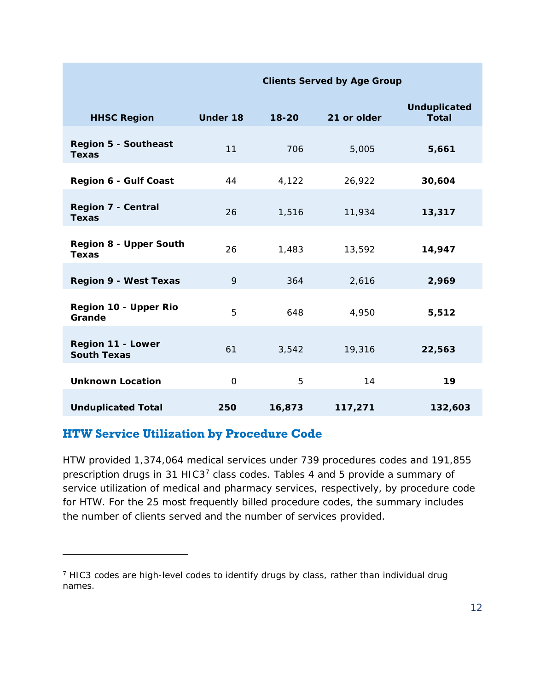| <b>HHSC Region</b>                            | <b>Under 18</b> | $18 - 20$ | 21 or older | <b>Unduplicated</b><br><b>Total</b> |
|-----------------------------------------------|-----------------|-----------|-------------|-------------------------------------|
| <b>Region 5 - Southeast</b><br><b>Texas</b>   | 11              | 706       | 5,005       | 5,661                               |
| <b>Region 6 - Gulf Coast</b>                  | 44              | 4,122     | 26,922      | 30,604                              |
| <b>Region 7 - Central</b><br><b>Texas</b>     | 26              | 1,516     | 11,934      | 13,317                              |
| <b>Region 8 - Upper South</b><br><b>Texas</b> | 26              | 1,483     | 13,592      | 14,947                              |
| <b>Region 9 - West Texas</b>                  | 9               | 364       | 2,616       | 2,969                               |
| Region 10 - Upper Rio<br>Grande               | 5               | 648       | 4,950       | 5,512                               |
| Region 11 - Lower<br><b>South Texas</b>       | 61              | 3,542     | 19,316      | 22,563                              |
| <b>Unknown Location</b>                       | $\mathbf 0$     | 5         | 14          | 19                                  |
| <b>Unduplicated Total</b>                     | 250             | 16,873    | 117,271     | 132,603                             |

**Clients Served by Age Group**

#### **HTW Service Utilization by Procedure Code**

1

HTW provided 1,374,064 medical services under 739 procedures codes and 191,855 prescription drugs in 31 HIC3[7](#page-13-0) class codes. Tables 4 and 5 provide a summary of service utilization of medical and pharmacy services, respectively, by procedure code for HTW. For the 25 most frequently billed procedure codes, the summary includes the number of clients served and the number of services provided.

<span id="page-13-0"></span><sup>7</sup> HIC3 codes are high-level codes to identify drugs by class, rather than individual drug names.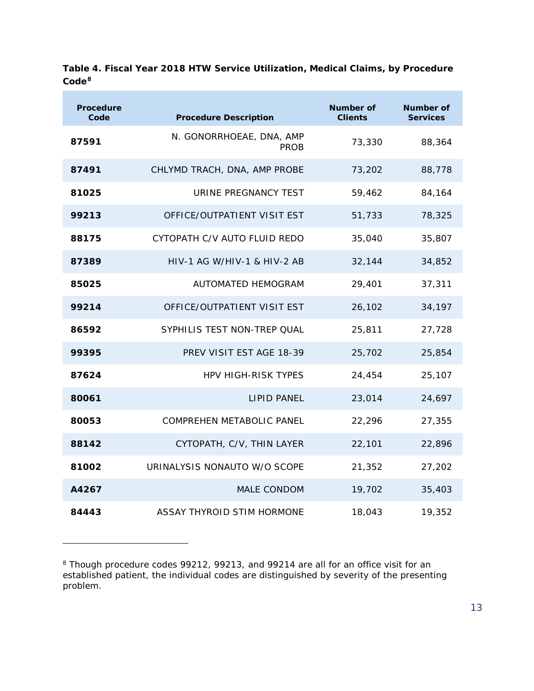| <b>Procedure</b><br>Code | <b>Procedure Description</b>            | Number of<br><b>Clients</b> | Number of<br><b>Services</b> |
|--------------------------|-----------------------------------------|-----------------------------|------------------------------|
| 87591                    | N. GONORRHOEAE, DNA, AMP<br><b>PROB</b> | 73,330                      | 88,364                       |
| 87491                    | CHLYMD TRACH, DNA, AMP PROBE            | 73,202                      | 88,778                       |
| 81025                    | URINE PREGNANCY TEST                    | 59,462                      | 84,164                       |
| 99213                    | OFFICE/OUTPATIENT VISIT EST             | 51,733                      | 78,325                       |
| 88175                    | CYTOPATH C/V AUTO FLUID REDO            | 35,040                      | 35,807                       |
| 87389                    | HIV-1 AG W/HIV-1 & HIV-2 AB             | 32,144                      | 34,852                       |
| 85025                    | AUTOMATED HEMOGRAM                      | 29,401                      | 37,311                       |
| 99214                    | OFFICE/OUTPATIENT VISIT EST             | 26,102                      | 34,197                       |
| 86592                    | SYPHILIS TEST NON-TREP QUAL             | 25,811                      | 27,728                       |
| 99395                    | PREV VISIT EST AGE 18-39                | 25,702                      | 25,854                       |
| 87624                    | <b>HPV HIGH-RISK TYPES</b>              | 24,454                      | 25,107                       |
| 80061                    | <b>LIPID PANEL</b>                      | 23,014                      | 24,697                       |
| 80053                    | <b>COMPREHEN METABOLIC PANEL</b>        | 22,296                      | 27,355                       |
| 88142                    | CYTOPATH, C/V, THIN LAYER               | 22,101                      | 22,896                       |
| 81002                    | URINALYSIS NONAUTO W/O SCOPE            | 21,352                      | 27,202                       |
| A4267                    | MALE CONDOM                             | 19,702                      | 35,403                       |
| 84443                    | ASSAY THYROID STIM HORMONE              | 18,043                      | 19,352                       |

**Table 4. Fiscal Year 2018 HTW Service Utilization, Medical Claims, by Procedure Code[8](#page-14-0)**

1

<span id="page-14-0"></span><sup>&</sup>lt;sup>8</sup> Though procedure codes 99212, 99213, and 99214 are all for an office visit for an established patient, the individual codes are distinguished by severity of the presenting problem.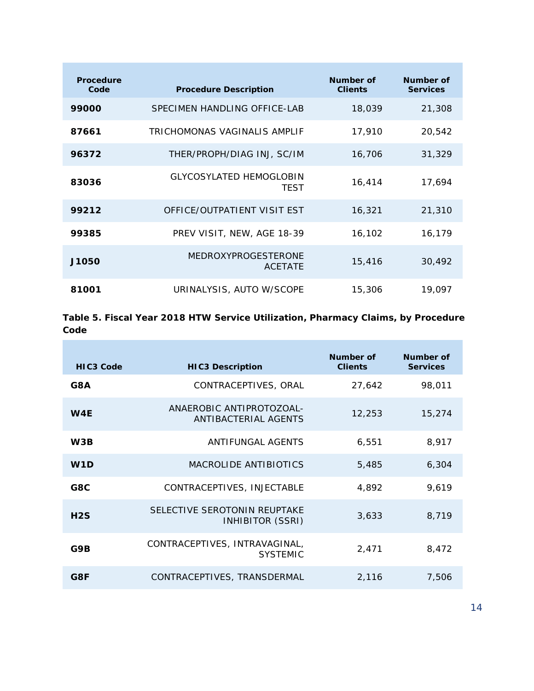| Procedure<br>Code | <b>Procedure Description</b>                  | Number of<br><b>Clients</b> | Number of<br><b>Services</b> |
|-------------------|-----------------------------------------------|-----------------------------|------------------------------|
| 99000             | SPECIMEN HANDLING OFFICE-LAB                  | 18,039                      | 21,308                       |
| 87661             | TRICHOMONAS VAGINALIS AMPLIF                  | 17,910                      | 20,542                       |
| 96372             | THER/PROPH/DIAG INJ, SC/IM                    | 16,706                      | 31,329                       |
| 83036             | <b>GLYCOSYLATED HEMOGLOBIN</b><br><b>TEST</b> | 16,414                      | 17,694                       |
| 99212             | OFFICE/OUTPATIENT VISIT EST                   | 16,321                      | 21,310                       |
| 99385             | PREV VISIT, NEW, AGE 18-39                    | 16,102                      | 16,179                       |
| J1050             | <b>MEDROXYPROGESTERONE</b><br><b>ACETATE</b>  | 15,416                      | 30,492                       |
| 81001             | URINALYSIS, AUTO W/SCOPE                      | 15,306                      | 19,097                       |

**Table 5. Fiscal Year 2018 HTW Service Utilization, Pharmacy Claims, by Procedure Code**

r i

| HIC <sub>3</sub> Code | <b>HIC3 Description</b>                          | Number of<br><b>Clients</b> | Number of<br><b>Services</b> |
|-----------------------|--------------------------------------------------|-----------------------------|------------------------------|
| G8A                   | CONTRACEPTIVES, ORAL                             | 27,642                      | 98,011                       |
| W <sub>4E</sub>       | ANAEROBIC ANTIPROTOZOAL-<br>ANTIBACTERIAL AGENTS | 12,253                      | 15,274                       |
| W3B                   | ANTIFUNGAL AGENTS                                | 6.551                       | 8,917                        |
| W1D                   | MACROLIDE ANTIBIOTICS                            | 5,485                       | 6,304                        |
| G8C                   | CONTRACEPTIVES, INJECTABLE                       | 4,892                       | 9,619                        |
| H2S                   | SELECTIVE SEROTONIN REUPTAKE<br>INHIBITOR (SSRI) | 3,633                       | 8,719                        |
| G9B                   | CONTRACEPTIVES, INTRAVAGINAL,<br><b>SYSTEMIC</b> | 2,471                       | 8,472                        |
| G8F                   | CONTRACEPTIVES, TRANSDERMAL                      | 2,116                       | 7,506                        |

÷,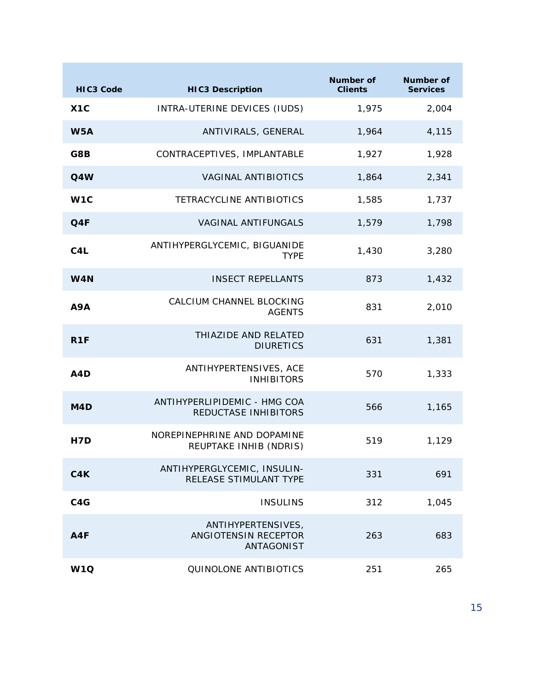| <b>HIC3 Code</b> | <b>HIC3 Description</b>                                  | Number of<br><b>Clients</b> | <b>Number of</b><br><b>Services</b> |
|------------------|----------------------------------------------------------|-----------------------------|-------------------------------------|
| X1C              | INTRA-UTERINE DEVICES (IUDS)                             | 1,975                       | 2,004                               |
| W <sub>5</sub> A | ANTIVIRALS, GENERAL                                      | 1,964                       | 4,115                               |
| G8B              | CONTRACEPTIVES, IMPLANTABLE                              | 1,927                       | 1,928                               |
| Q4W              | <b>VAGINAL ANTIBIOTICS</b>                               | 1,864                       | 2,341                               |
| W <sub>1</sub> C | <b>TETRACYCLINE ANTIBIOTICS</b>                          | 1,585                       | 1,737                               |
| Q4F              | <b>VAGINAL ANTIFUNGALS</b>                               | 1,579                       | 1,798                               |
| C <sub>4</sub> L | ANTIHYPERGLYCEMIC, BIGUANIDE<br><b>TYPE</b>              | 1,430                       | 3,280                               |
| W4N              | <b>INSECT REPELLANTS</b>                                 | 873                         | 1,432                               |
| A9A              | CALCIUM CHANNEL BLOCKING<br><b>AGENTS</b>                | 831                         | 2,010                               |
| R <sub>1</sub> F | THIAZIDE AND RELATED<br><b>DIURETICS</b>                 | 631                         | 1,381                               |
| A4D              | ANTIHYPERTENSIVES, ACE<br><b>INHIBITORS</b>              | 570                         | 1,333                               |
| M <sub>4</sub> D | ANTIHYPERLIPIDEMIC - HMG COA<br>REDUCTASE INHIBITORS     | 566                         | 1,165                               |
| H7D              | NOREPINEPHRINE AND DOPAMINE<br>REUPTAKE INHIB (NDRIS)    | 519                         | 1,129                               |
| C4K              | ANTIHYPERGLYCEMIC, INSULIN-<br>RELEASE STIMULANT TYPE    | 331                         | 691                                 |
| C4G              | <b>INSULINS</b>                                          | 312                         | 1,045                               |
| A4F              | ANTIHYPERTENSIVES,<br>ANGIOTENSIN RECEPTOR<br>ANTAGONIST | 263                         | 683                                 |
| W <sub>1Q</sub>  | QUINOLONE ANTIBIOTICS                                    | 251                         | 265                                 |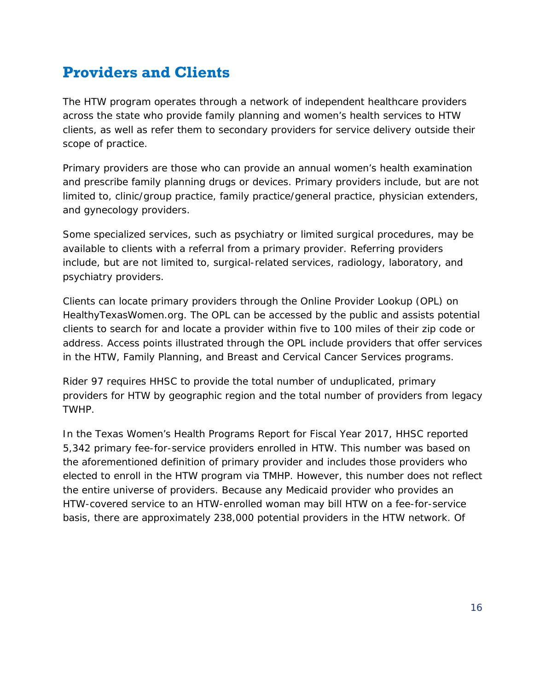# <span id="page-17-0"></span>**Providers and Clients**

The HTW program operates through a network of independent healthcare providers across the state who provide family planning and women's health services to HTW clients, as well as refer them to secondary providers for service delivery outside their scope of practice.

Primary providers are those who can provide an annual women's health examination and prescribe family planning drugs or devices. Primary providers include, but are not limited to, clinic/group practice, family practice/general practice, physician extenders, and gynecology providers.

Some specialized services, such as psychiatry or limited surgical procedures, may be available to clients with a referral from a primary provider. Referring providers include, but are not limited to, surgical-related services, radiology, laboratory, and psychiatry providers.

Clients can locate primary providers through the Online Provider Lookup (OPL) on HealthyTexasWomen.org. The OPL can be accessed by the public and assists potential clients to search for and locate a provider within five to 100 miles of their zip code or address. Access points illustrated through the OPL include providers that offer services in the HTW, Family Planning, and Breast and Cervical Cancer Services programs.

Rider 97 requires HHSC to provide the total number of unduplicated, primary providers for HTW by geographic region and the total number of providers from legacy TWHP.

In the *Texas Women's Health Programs Report for Fiscal Year 2017*, HHSC reported 5,342 primary fee-for-service providers enrolled in HTW. This number was based on the aforementioned definition of primary provider and includes those providers who elected to enroll in the HTW program via TMHP. However, this number does not reflect the entire universe of providers. Because any Medicaid provider who provides an HTW-covered service to an HTW-enrolled woman may bill HTW on a fee-for-service basis, there are approximately 238,000 potential providers in the HTW network. Of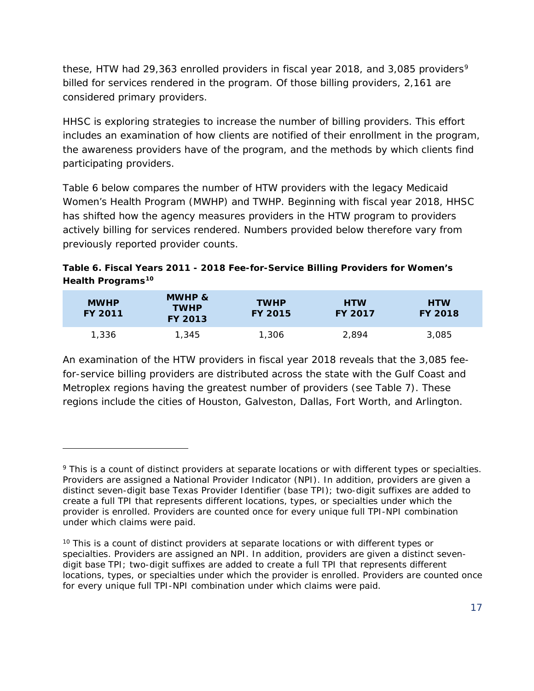these, HTW had 2[9](#page-18-0),363 enrolled providers in fiscal year 2018, and 3,085 providers<sup>9</sup> billed for services rendered in the program. Of those billing providers, 2,161 are considered primary providers.

HHSC is exploring strategies to increase the number of billing providers. This effort includes an examination of how clients are notified of their enrollment in the program, the awareness providers have of the program, and the methods by which clients find participating providers.

Table 6 below compares the number of HTW providers with the legacy Medicaid Women's Health Program (MWHP) and TWHP. Beginning with fiscal year 2018, HHSC has shifted how the agency measures providers in the HTW program to providers actively billing for services rendered. Numbers provided below therefore vary from previously reported provider counts.

#### **Table 6. Fiscal Years 2011 - 2018 Fee-for-Service Billing Providers for Women's Health Programs[10](#page-18-1)**

| <b>MWHP</b><br><b>FY 2011</b> | MWHP &<br><b>TWHP</b><br><b>FY 2013</b> | <b>TWHP</b><br><b>FY 2015</b> | <b>HTW</b><br><b>FY 2017</b> | <b>HTW</b><br><b>FY 2018</b> |
|-------------------------------|-----------------------------------------|-------------------------------|------------------------------|------------------------------|
| 1,336                         | 1,345                                   | 1,306                         | 2.894                        | 3,085                        |

An examination of the HTW providers in fiscal year 2018 reveals that the 3,085 feefor-service billing providers are distributed across the state with the Gulf Coast and Metroplex regions having the greatest number of providers (see Table 7). These regions include the cities of Houston, Galveston, Dallas, Fort Worth, and Arlington.

1

<span id="page-18-0"></span><sup>9</sup> This is a count of distinct providers at separate locations or with different types or specialties. Providers are assigned a National Provider Indicator (NPI). In addition, providers are given a distinct seven-digit base Texas Provider Identifier (base TPI); two-digit suffixes are added to create a full TPI that represents different locations, types, or specialties under which the provider is enrolled. Providers are counted once for every unique full TPI-NPI combination under which claims were paid.

<span id="page-18-1"></span> $10$  This is a count of distinct providers at separate locations or with different types or specialties. Providers are assigned an NPI. In addition, providers are given a distinct sevendigit base TPI; two-digit suffixes are added to create a full TPI that represents different locations, types, or specialties under which the provider is enrolled. Providers are counted once for every unique full TPI-NPI combination under which claims were paid.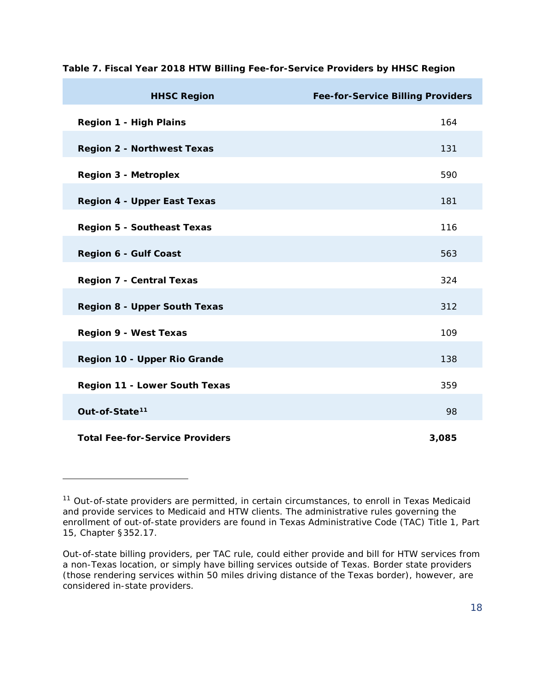| <b>HHSC Region</b>                     | <b>Fee-for-Service Billing Providers</b> |
|----------------------------------------|------------------------------------------|
| <b>Region 1 - High Plains</b>          | 164                                      |
| <b>Region 2 - Northwest Texas</b>      | 131                                      |
| <b>Region 3 - Metroplex</b>            | 590                                      |
| <b>Region 4 - Upper East Texas</b>     | 181                                      |
| <b>Region 5 - Southeast Texas</b>      | 116                                      |
| <b>Region 6 - Gulf Coast</b>           | 563                                      |
| <b>Region 7 - Central Texas</b>        | 324                                      |
| <b>Region 8 - Upper South Texas</b>    | 312                                      |
| <b>Region 9 - West Texas</b>           | 109                                      |
| Region 10 - Upper Rio Grande           | 138                                      |
| Region 11 - Lower South Texas          | 359                                      |
| Out-of-State <sup>11</sup>             | 98                                       |
| <b>Total Fee-for-Service Providers</b> | 3,085                                    |

**Table 7. Fiscal Year 2018 HTW Billing Fee-for-Service Providers by HHSC Region**

1

<span id="page-19-0"></span> $11$  Out-of-state providers are permitted, in certain circumstances, to enroll in Texas Medicaid and provide services to Medicaid and HTW clients. The administrative rules governing the enrollment of out-of-state providers are found in Texas Administrative Code (TAC) Title 1, Part 15, Chapter §352.17.

Out-of-state billing providers, per TAC rule, could either provide and bill for HTW services from a non-Texas location, or simply have billing services outside of Texas. Border state providers (those rendering services within 50 miles driving distance of the Texas border), however, are considered in-state providers.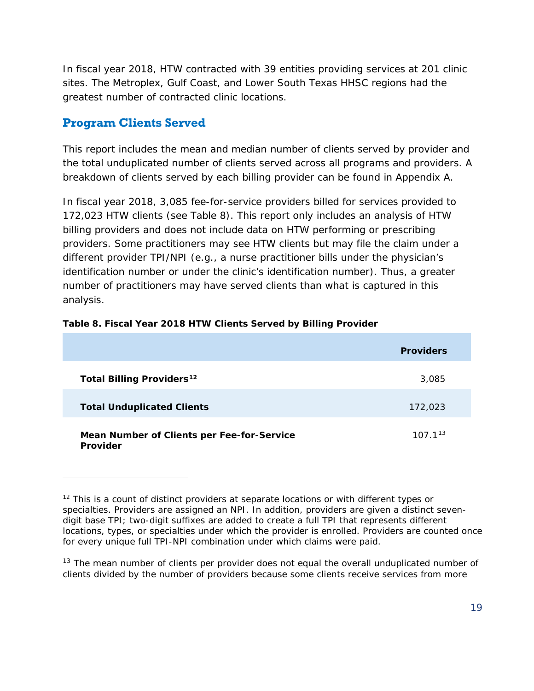In fiscal year 2018, HTW contracted with 39 entities providing services at 201 clinic sites. The Metroplex, Gulf Coast, and Lower South Texas HHSC regions had the greatest number of contracted clinic locations.

#### **Program Clients Served**

1

This report includes the mean and median number of clients served by provider and the total unduplicated number of clients served across all programs and providers. A breakdown of clients served by each billing provider can be found in Appendix A.

In fiscal year 2018, 3,085 fee-for-service providers billed for services provided to 172,023 HTW clients (see Table 8). This report only includes an analysis of HTW billing providers and does not include data on HTW performing or prescribing providers. Some practitioners may see HTW clients but may file the claim under a different provider TPI/NPI (e.g., a nurse practitioner bills under the physician's identification number or under the clinic's identification number). Thus, a greater number of practitioners may have served clients than what is captured in this analysis.

|                                                        | <b>Providers</b> |
|--------------------------------------------------------|------------------|
| <b>Total Billing Providers<sup>12</sup></b>            | 3,085            |
| <b>Total Unduplicated Clients</b>                      | 172,023          |
| Mean Number of Clients per Fee-for-Service<br>Provider | $107.1^{13}$     |

#### **Table 8. Fiscal Year 2018 HTW Clients Served by Billing Provider**

<span id="page-20-0"></span> $12$  This is a count of distinct providers at separate locations or with different types or specialties. Providers are assigned an NPI. In addition, providers are given a distinct sevendigit base TPI; two-digit suffixes are added to create a full TPI that represents different locations, types, or specialties under which the provider is enrolled. Providers are counted once for every unique full TPI-NPI combination under which claims were paid.

<span id="page-20-1"></span> $13$  The mean number of clients per provider does not equal the overall unduplicated number of clients divided by the number of providers because some clients receive services from more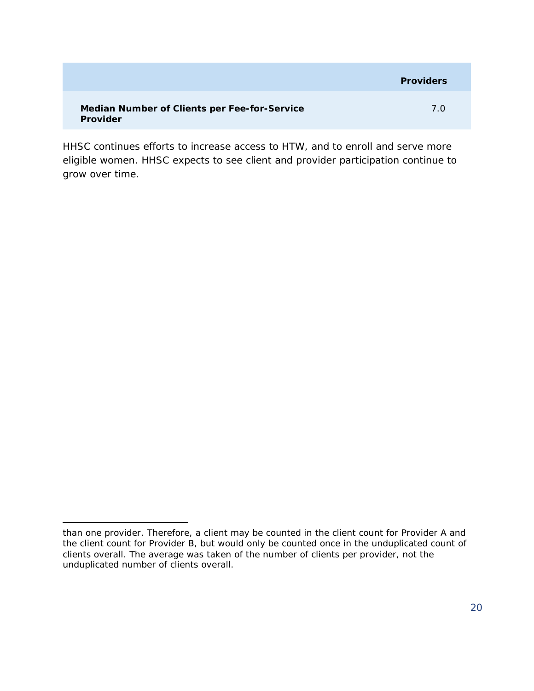|                                                          | <b>Providers</b> |
|----------------------------------------------------------|------------------|
| Median Number of Clients per Fee-for-Service<br>Provider | 7 O              |

HHSC continues efforts to increase access to HTW, and to enroll and serve more eligible women. HHSC expects to see client and provider participation continue to grow over time.

l than one provider. Therefore, a client may be counted in the client count for Provider A and the client count for Provider B, but would only be counted once in the unduplicated count of clients overall. The average was taken of the number of clients per provider, not the unduplicated number of clients overall.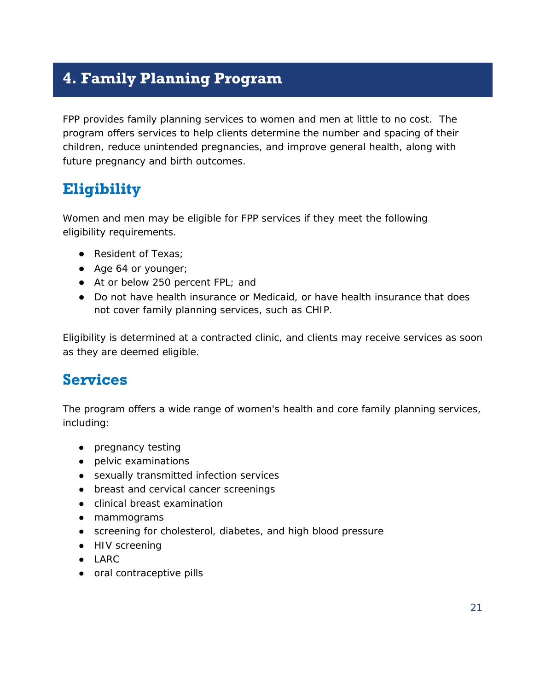# <span id="page-22-0"></span>**4. Family Planning Program**

FPP provides family planning services to women and men at little to no cost. The program offers services to help clients determine the number and spacing of their children, reduce unintended pregnancies, and improve general health, along with future pregnancy and birth outcomes.

### <span id="page-22-1"></span>**Eligibility**

Women and men may be eligible for FPP services if they meet the following eligibility requirements.

- Resident of Texas;
- Age 64 or younger;
- At or below 250 percent FPL; and
- Do not have health insurance or Medicaid, or have health insurance that does not cover family planning services, such as CHIP.

Eligibility is determined at a contracted clinic, and clients may receive services as soon as they are deemed eligible.

#### <span id="page-22-2"></span>**Services**

The program offers a wide range of women's health and core family planning services, including:

- pregnancy testing
- pelvic examinations
- sexually transmitted infection services
- breast and cervical cancer screenings
- clinical breast examination
- mammograms
- screening for cholesterol, diabetes, and high blood pressure
- HIV screening
- LARC
- oral contraceptive pills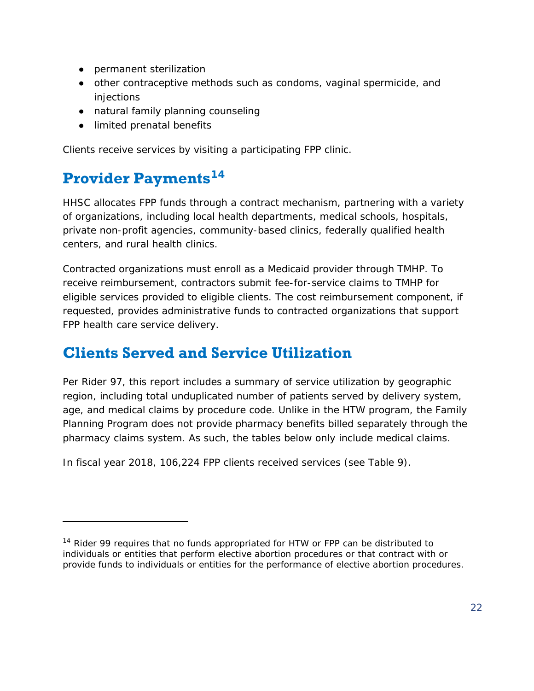- permanent sterilization
- other contraceptive methods such as condoms, vaginal spermicide, and injections
- natural family planning counseling
- limited prenatal benefits

Clients receive services by visiting a participating FPP clinic.

### <span id="page-23-0"></span>**Provider Payments[14](#page-23-2)**

1

HHSC allocates FPP funds through a contract mechanism, partnering with a variety of organizations, including local health departments, medical schools, hospitals, private non-profit agencies, community-based clinics, federally qualified health centers, and rural health clinics.

Contracted organizations must enroll as a Medicaid provider through TMHP. To receive reimbursement, contractors submit fee-for-service claims to TMHP for eligible services provided to eligible clients. The cost reimbursement component, if requested, provides administrative funds to contracted organizations that support FPP health care service delivery.

### <span id="page-23-1"></span>**Clients Served and Service Utilization**

Per Rider 97, this report includes a summary of service utilization by geographic region, including total unduplicated number of patients served by delivery system, age, and medical claims by procedure code. Unlike in the HTW program, the Family Planning Program does not provide pharmacy benefits billed separately through the pharmacy claims system. As such, the tables below only include medical claims.

In fiscal year 2018, 106,224 FPP clients received services (see Table 9).

<span id="page-23-2"></span><sup>&</sup>lt;sup>14</sup> Rider 99 requires that no funds appropriated for HTW or FPP can be distributed to individuals or entities that perform elective abortion procedures or that contract with or provide funds to individuals or entities for the performance of elective abortion procedures.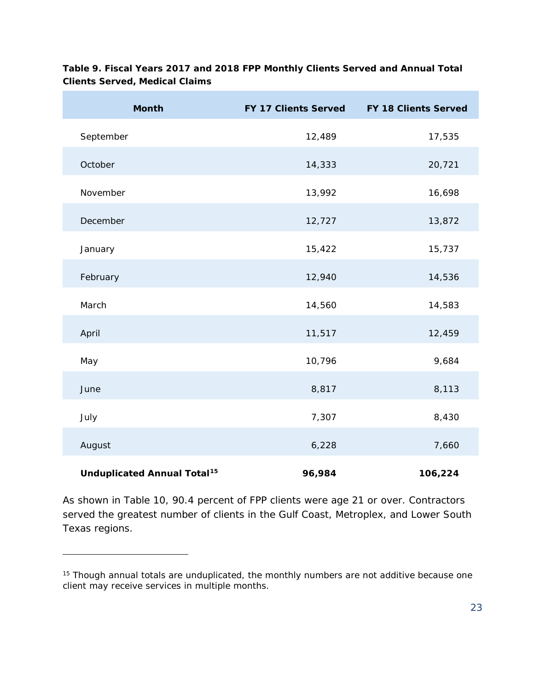| <b>Month</b>                                  | FY 17 Clients Served | <b>FY 18 Clients Served</b> |
|-----------------------------------------------|----------------------|-----------------------------|
| September                                     | 12,489               | 17,535                      |
| October                                       | 14,333               | 20,721                      |
| November                                      | 13,992               | 16,698                      |
| December                                      | 12,727               | 13,872                      |
| January                                       | 15,422               | 15,737                      |
| February                                      | 12,940               | 14,536                      |
| March                                         | 14,560               | 14,583                      |
| April                                         | 11,517               | 12,459                      |
| May                                           | 10,796               | 9,684                       |
| June                                          | 8,817                | 8,113                       |
| July                                          | 7,307                | 8,430                       |
| August                                        | 6,228                | 7,660                       |
| <b>Unduplicated Annual Total<sup>15</sup></b> | 96,984               | 106,224                     |

**Table 9. Fiscal Years 2017 and 2018 FPP Monthly Clients Served and Annual Total Clients Served, Medical Claims**

As shown in Table 10, 90.4 percent of FPP clients were age 21 or over. Contractors served the greatest number of clients in the Gulf Coast, Metroplex, and Lower South Texas regions.

1

<span id="page-24-0"></span><sup>&</sup>lt;sup>15</sup> Though annual totals are unduplicated, the monthly numbers are not additive because one client may receive services in multiple months.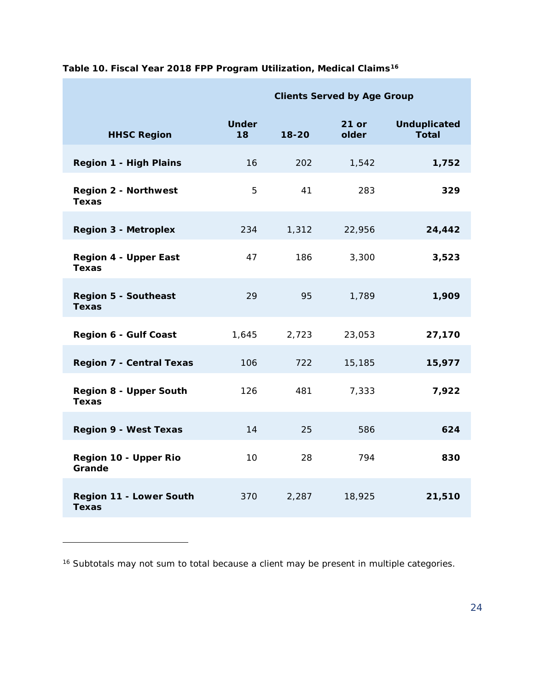|                                               | <b>Clients Served by Age Group</b> |           |                |                                     |
|-----------------------------------------------|------------------------------------|-----------|----------------|-------------------------------------|
| <b>HHSC Region</b>                            | <b>Under</b><br>18                 | $18 - 20$ | 21 or<br>older | <b>Unduplicated</b><br><b>Total</b> |
| <b>Region 1 - High Plains</b>                 | 16                                 | 202       | 1,542          | 1,752                               |
| <b>Region 2 - Northwest</b><br>Texas          | 5                                  | 41        | 283            | 329                                 |
| <b>Region 3 - Metroplex</b>                   | 234                                | 1,312     | 22,956         | 24,442                              |
| <b>Region 4 - Upper East</b><br><b>Texas</b>  | 47                                 | 186       | 3,300          | 3,523                               |
| <b>Region 5 - Southeast</b><br><b>Texas</b>   | 29                                 | 95        | 1,789          | 1,909                               |
| <b>Region 6 - Gulf Coast</b>                  | 1,645                              | 2,723     | 23,053         | 27,170                              |
| <b>Region 7 - Central Texas</b>               | 106                                | 722       | 15,185         | 15,977                              |
| <b>Region 8 - Upper South</b><br><b>Texas</b> | 126                                | 481       | 7,333          | 7,922                               |
| <b>Region 9 - West Texas</b>                  | 14                                 | 25        | 586            | 624                                 |
| Region 10 - Upper Rio<br>Grande               | 10                                 | 28        | 794            | 830                                 |
| Region 11 - Lower South<br><b>Texas</b>       | 370                                | 2,287     | 18,925         | 21,510                              |

**Table 10. Fiscal Year 2018 FPP Program Utilization, Medical Claims[16](#page-25-0)**

l

<span id="page-25-0"></span><sup>&</sup>lt;sup>16</sup> Subtotals may not sum to total because a client may be present in multiple categories.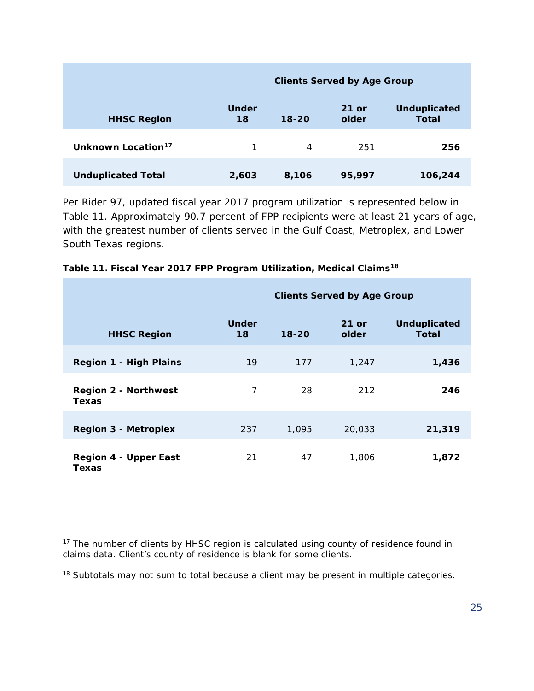|                                | <b>Clients Served by Age Group</b> |           |                  |                                     |
|--------------------------------|------------------------------------|-----------|------------------|-------------------------------------|
| <b>HHSC Region</b>             | <b>Under</b><br>18                 | $18 - 20$ | $21$ or<br>older | <b>Unduplicated</b><br><b>Total</b> |
| Unknown Location <sup>17</sup> |                                    | 4         | 251              | 256                                 |
| <b>Unduplicated Total</b>      | 2,603                              | 8,106     | 95,997           | 106,244                             |

Per Rider 97, updated fiscal year 2017 program utilization is represented below in Table 11. Approximately 90.7 percent of FPP recipients were at least 21 years of age, with the greatest number of clients served in the Gulf Coast, Metroplex, and Lower South Texas regions.

|                                       | <b>Clients Served by Age Group</b> |           |                  |                              |
|---------------------------------------|------------------------------------|-----------|------------------|------------------------------|
| <b>HHSC Region</b>                    | <b>Under</b><br>18                 | $18 - 20$ | $21$ or<br>older | <b>Unduplicated</b><br>Total |
| <b>Region 1 - High Plains</b>         | 19                                 | 177       | 1,247            | 1,436                        |
| <b>Region 2 - Northwest</b><br>Texas  | $\overline{7}$                     | 28        | 212              | 246                          |
| <b>Region 3 - Metroplex</b>           | 237                                | 1,095     | 20,033           | 21,319                       |
| <b>Region 4 - Upper East</b><br>Texas | 21                                 | 47        | 1,806            | 1,872                        |

| Table 11. Fiscal Year 2017 FPP Program Utilization, Medical Claims <sup>18</sup> |  |
|----------------------------------------------------------------------------------|--|
|----------------------------------------------------------------------------------|--|

1

<span id="page-26-0"></span> $17$  The number of clients by HHSC region is calculated using county of residence found in claims data. Client's county of residence is blank for some clients.

<span id="page-26-1"></span><sup>&</sup>lt;sup>18</sup> Subtotals may not sum to total because a client may be present in multiple categories.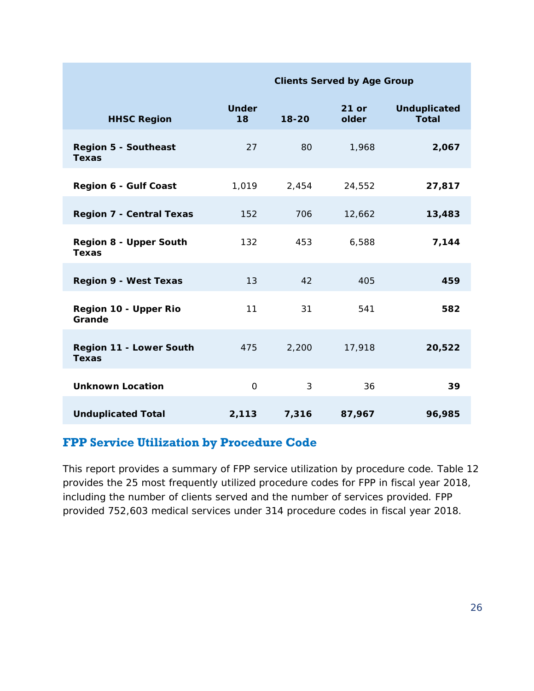|                                               | $\frac{1}{2}$      |           |                  |                                     |
|-----------------------------------------------|--------------------|-----------|------------------|-------------------------------------|
| <b>HHSC Region</b>                            | <b>Under</b><br>18 | $18 - 20$ | $21$ or<br>older | <b>Unduplicated</b><br><b>Total</b> |
| <b>Region 5 - Southeast</b><br><b>Texas</b>   | 27                 | 80        | 1,968            | 2,067                               |
| <b>Region 6 - Gulf Coast</b>                  | 1,019              | 2,454     | 24,552           | 27,817                              |
| <b>Region 7 - Central Texas</b>               | 152                | 706       | 12,662           | 13,483                              |
| <b>Region 8 - Upper South</b><br><b>Texas</b> | 132                | 453       | 6,588            | 7,144                               |
| <b>Region 9 - West Texas</b>                  | 13                 | 42        | 405              | 459                                 |
| Region 10 - Upper Rio<br>Grande               | 11                 | 31        | 541              | 582                                 |
| Region 11 - Lower South<br><b>Texas</b>       | 475                | 2,200     | 17,918           | 20,522                              |
| <b>Unknown Location</b>                       | $\mathbf{O}$       | 3         | 36               | 39                                  |
| <b>Unduplicated Total</b>                     | 2,113              | 7,316     | 87,967           | 96,985                              |

**Clients Served by Age Group**

#### **FPP Service Utilization by Procedure Code**

This report provides a summary of FPP service utilization by procedure code. Table 12 provides the 25 most frequently utilized procedure codes for FPP in fiscal year 2018, including the number of clients served and the number of services provided. FPP provided 752,603 medical services under 314 procedure codes in fiscal year 2018.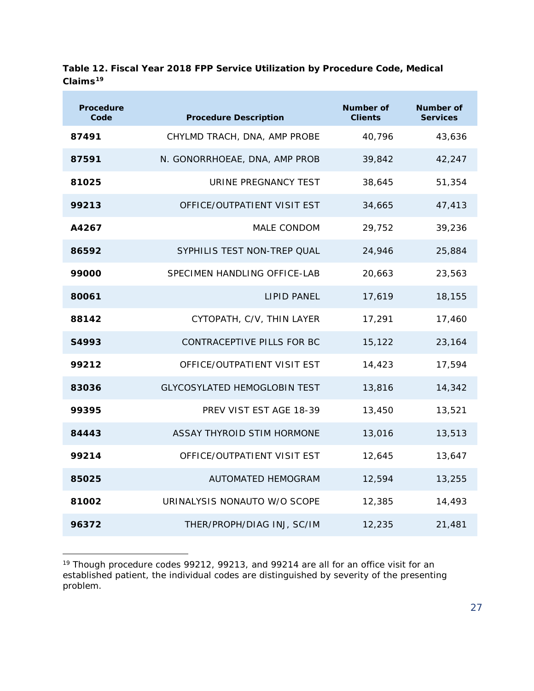| <b>Procedure</b><br>Code | <b>Procedure Description</b>        | Number of<br><b>Clients</b> | Number of<br><b>Services</b> |
|--------------------------|-------------------------------------|-----------------------------|------------------------------|
| 87491                    | CHYLMD TRACH, DNA, AMP PROBE        | 40,796                      | 43,636                       |
| 87591                    | N. GONORRHOEAE, DNA, AMP PROB       | 39,842                      | 42,247                       |
| 81025                    | URINE PREGNANCY TEST                | 38,645                      | 51,354                       |
| 99213                    | OFFICE/OUTPATIENT VISIT EST         | 34,665                      | 47,413                       |
| A4267                    | MALE CONDOM                         | 29,752                      | 39,236                       |
| 86592                    | SYPHILIS TEST NON-TREP QUAL         | 24,946                      | 25,884                       |
| 99000                    | SPECIMEN HANDLING OFFICE-LAB        | 20,663                      | 23,563                       |
| 80061                    | <b>LIPID PANEL</b>                  | 17,619                      | 18,155                       |
| 88142                    | CYTOPATH, C/V, THIN LAYER           | 17,291                      | 17,460                       |
| S4993                    | CONTRACEPTIVE PILLS FOR BC          | 15,122                      | 23,164                       |
| 99212                    | OFFICE/OUTPATIENT VISIT EST         | 14,423                      | 17,594                       |
| 83036                    | <b>GLYCOSYLATED HEMOGLOBIN TEST</b> | 13,816                      | 14,342                       |
| 99395                    | PREV VIST EST AGE 18-39             | 13,450                      | 13,521                       |
| 84443                    | ASSAY THYROID STIM HORMONE          | 13,016                      | 13,513                       |
| 99214                    | OFFICE/OUTPATIENT VISIT EST         | 12,645                      | 13,647                       |
| 85025                    | AUTOMATED HEMOGRAM                  | 12,594                      | 13,255                       |
| 81002                    | URINALYSIS NONAUTO W/O SCOPE        | 12,385                      | 14,493                       |
| 96372                    | THER/PROPH/DIAG INJ, SC/IM          | 12,235                      | 21,481                       |

**Table 12. Fiscal Year 2018 FPP Service Utilization by Procedure Code, Medical Claims[19](#page-28-0)**

<span id="page-28-0"></span><sup>1</sup> <sup>19</sup> Though procedure codes 99212, 99213, and 99214 are all for an office visit for an established patient, the individual codes are distinguished by severity of the presenting problem.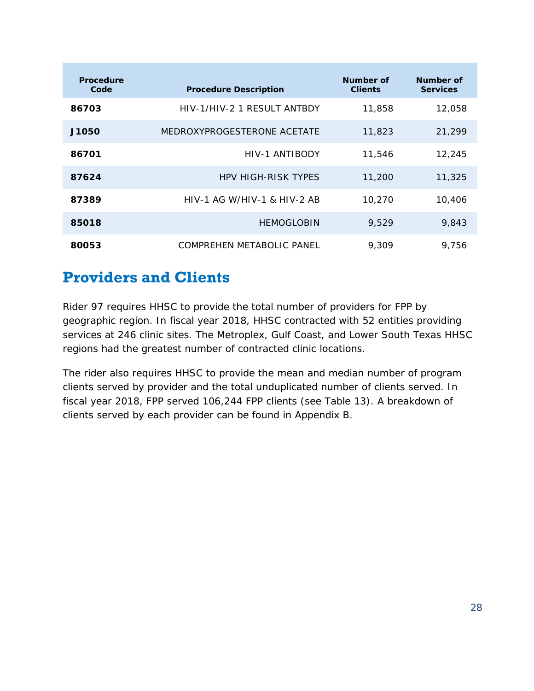| <b>Procedure</b><br>Code | <b>Procedure Description</b>  | Number of<br><b>Clients</b> | Number of<br><b>Services</b> |
|--------------------------|-------------------------------|-----------------------------|------------------------------|
| 86703                    | HIV-1/HIV-2 1 RESULT ANTBDY   | 11,858                      | 12,058                       |
| J1050                    | MEDROXYPROGESTERONE ACETATE   | 11,823                      | 21,299                       |
| 86701                    | HIV-1 ANTIBODY                | 11,546                      | 12,245                       |
| 87624                    | <b>HPV HIGH-RISK TYPES</b>    | 11,200                      | 11,325                       |
| 87389                    | $HIV-1$ AG W/HIV-1 & HIV-2 AB | 10,270                      | 10,406                       |
| 85018                    | <b>HEMOGLOBIN</b>             | 9,529                       | 9,843                        |
| 80053                    | COMPREHEN METABOLIC PANEL     | 9.309                       | 9.756                        |

### <span id="page-29-0"></span>**Providers and Clients**

Rider 97 requires HHSC to provide the total number of providers for FPP by geographic region. In fiscal year 2018, HHSC contracted with 52 entities providing services at 246 clinic sites. The Metroplex, Gulf Coast, and Lower South Texas HHSC regions had the greatest number of contracted clinic locations.

The rider also requires HHSC to provide the mean and median number of program clients served by provider and the total unduplicated number of clients served. In fiscal year 2018, FPP served 106,244 FPP clients (see Table 13). A breakdown of clients served by each provider can be found in Appendix B.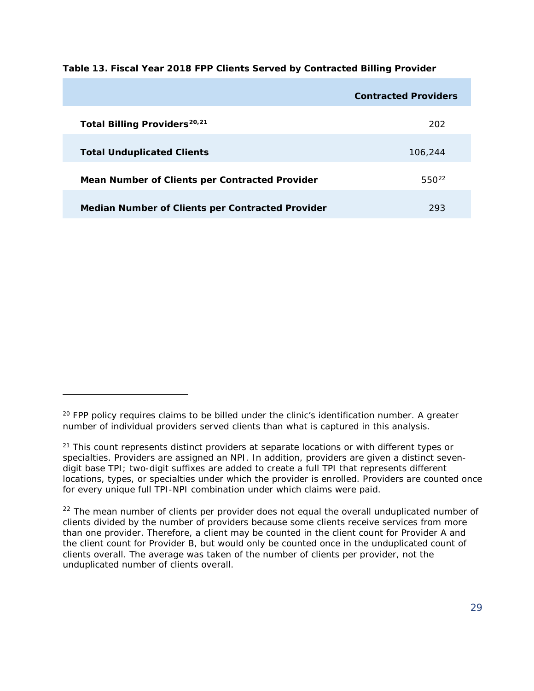**Table 13. Fiscal Year 2018 FPP Clients Served by Contracted Billing Provider** 

|                                                  | <b>Contracted Providers</b> |
|--------------------------------------------------|-----------------------------|
| Total Billing Providers <sup>20,21</sup>         | 202                         |
| <b>Total Unduplicated Clients</b>                | 106,244                     |
| Mean Number of Clients per Contracted Provider   | $550^{22}$                  |
| Median Number of Clients per Contracted Provider | 293                         |

l

<span id="page-30-0"></span><sup>&</sup>lt;sup>20</sup> FPP policy requires claims to be billed under the clinic's identification number. A greater number of individual providers served clients than what is captured in this analysis.

<span id="page-30-1"></span> $21$  This count represents distinct providers at separate locations or with different types or specialties. Providers are assigned an NPI. In addition, providers are given a distinct sevendigit base TPI; two-digit suffixes are added to create a full TPI that represents different locations, types, or specialties under which the provider is enrolled. Providers are counted once for every unique full TPI-NPI combination under which claims were paid.

<span id="page-30-2"></span><sup>&</sup>lt;sup>22</sup> The mean number of clients per provider does not equal the overall unduplicated number of clients divided by the number of providers because some clients receive services from more than one provider. Therefore, a client may be counted in the client count for Provider A and the client count for Provider B, but would only be counted once in the unduplicated count of clients overall. The average was taken of the number of clients per provider, not the unduplicated number of clients overall.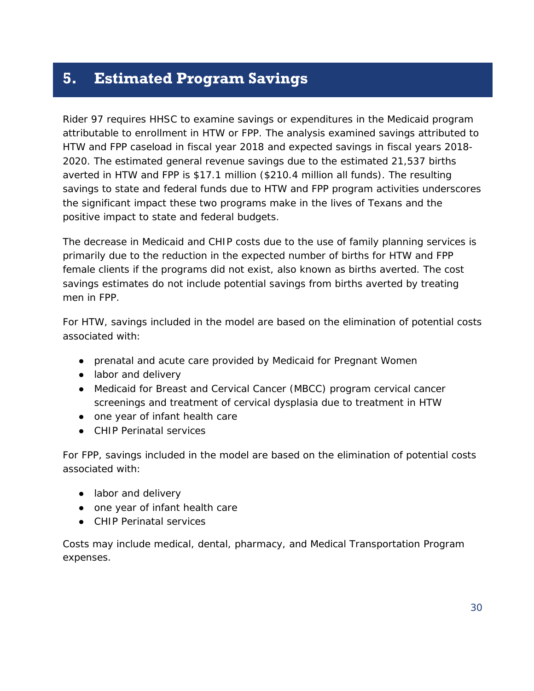### <span id="page-31-0"></span>**5. Estimated Program Savings**

Rider 97 requires HHSC to examine savings or expenditures in the Medicaid program attributable to enrollment in HTW or FPP. The analysis examined savings attributed to HTW and FPP caseload in fiscal year 2018 and expected savings in fiscal years 2018- 2020. The estimated general revenue savings due to the estimated 21,537 births averted in HTW and FPP is \$17.1 million (\$210.4 million all funds). The resulting savings to state and federal funds due to HTW and FPP program activities underscores the significant impact these two programs make in the lives of Texans and the positive impact to state and federal budgets.

The decrease in Medicaid and CHIP costs due to the use of family planning services is primarily due to the reduction in the expected number of births for HTW and FPP female clients if the programs did not exist, also known as births averted. The cost savings estimates do not include potential savings from births averted by treating men in FPP.

For HTW, savings included in the model are based on the elimination of potential costs associated with:

- prenatal and acute care provided by Medicaid for Pregnant Women
- labor and delivery
- Medicaid for Breast and Cervical Cancer (MBCC) program cervical cancer screenings and treatment of cervical dysplasia due to treatment in HTW
- one year of infant health care
- CHIP Perinatal services

For FPP, savings included in the model are based on the elimination of potential costs associated with:

- labor and delivery
- one year of infant health care
- CHIP Perinatal services

Costs may include medical, dental, pharmacy, and Medical Transportation Program expenses.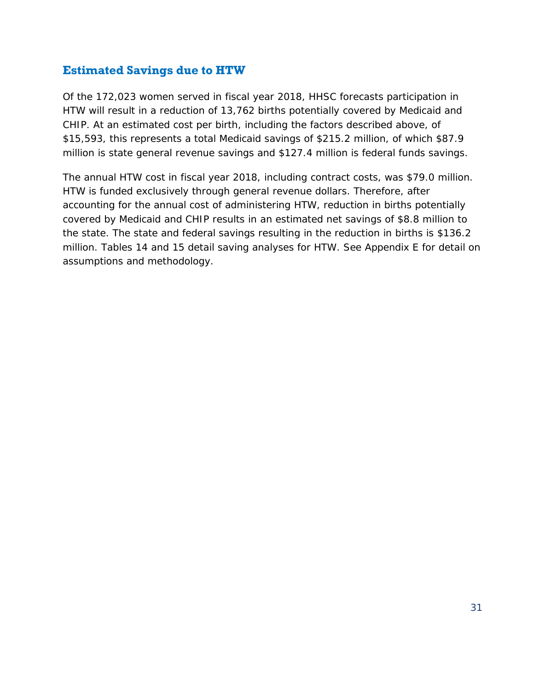#### **Estimated Savings due to HTW**

Of the 172,023 women served in fiscal year 2018, HHSC forecasts participation in HTW will result in a reduction of 13,762 births potentially covered by Medicaid and CHIP. At an estimated cost per birth, including the factors described above, of \$15,593, this represents a total Medicaid savings of \$215.2 million, of which \$87.9 million is state general revenue savings and \$127.4 million is federal funds savings.

The annual HTW cost in fiscal year 2018, including contract costs, was \$79.0 million. HTW is funded exclusively through general revenue dollars. Therefore, after accounting for the annual cost of administering HTW, reduction in births potentially covered by Medicaid and CHIP results in an estimated net savings of \$8.8 million to the state. The state and federal savings resulting in the reduction in births is \$136.2 million. Tables 14 and 15 detail saving analyses for HTW. See Appendix E for detail on assumptions and methodology.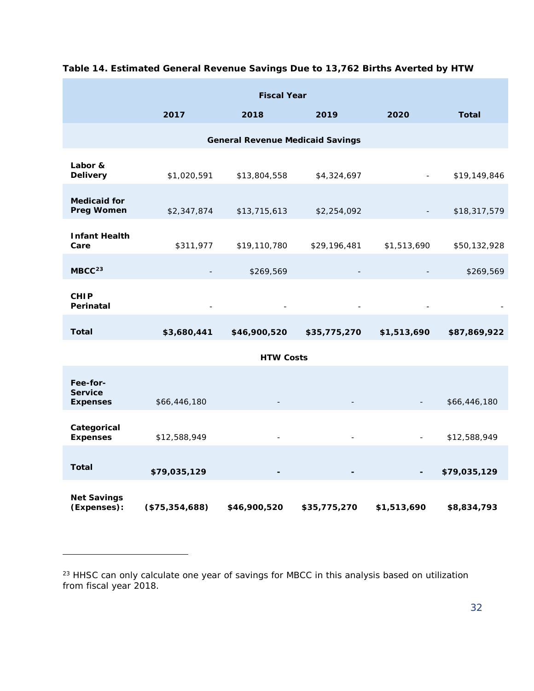| <b>Fiscal Year</b>                            |                |                                         |              |             |              |
|-----------------------------------------------|----------------|-----------------------------------------|--------------|-------------|--------------|
|                                               | 2017           | 2018                                    | 2019         | 2020        | <b>Total</b> |
|                                               |                | <b>General Revenue Medicaid Savings</b> |              |             |              |
| Labor &<br><b>Delivery</b>                    | \$1,020,591    | \$13,804,558                            | \$4,324,697  |             | \$19,149,846 |
| <b>Medicaid for</b><br><b>Preg Women</b>      | \$2,347,874    | \$13,715,613                            | \$2,254,092  |             | \$18,317,579 |
| <b>Infant Health</b><br>Care                  | \$311,977      | \$19,110,780                            | \$29,196,481 | \$1,513,690 | \$50,132,928 |
| MBCC <sup>23</sup>                            |                | \$269,569                               |              |             | \$269,569    |
| <b>CHIP</b><br>Perinatal                      |                |                                         |              |             |              |
| <b>Total</b>                                  | \$3,680,441    | \$46,900,520                            | \$35,775,270 | \$1,513,690 | \$87,869,922 |
|                                               |                | <b>HTW Costs</b>                        |              |             |              |
| Fee-for-<br><b>Service</b><br><b>Expenses</b> | \$66,446,180   |                                         |              |             | \$66,446,180 |
| Categorical<br><b>Expenses</b>                | \$12,588,949   |                                         |              |             | \$12,588,949 |
| <b>Total</b>                                  | \$79,035,129   |                                         |              |             | \$79,035,129 |
| <b>Net Savings</b><br>(Expenses):             | (\$75,354,688) | \$46,900,520                            | \$35,775,270 | \$1,513,690 | \$8,834,793  |

#### **Table 14. Estimated General Revenue Savings Due to 13,762 Births Averted by HTW**

1

<span id="page-33-0"></span><sup>&</sup>lt;sup>23</sup> HHSC can only calculate one year of savings for MBCC in this analysis based on utilization from fiscal year 2018.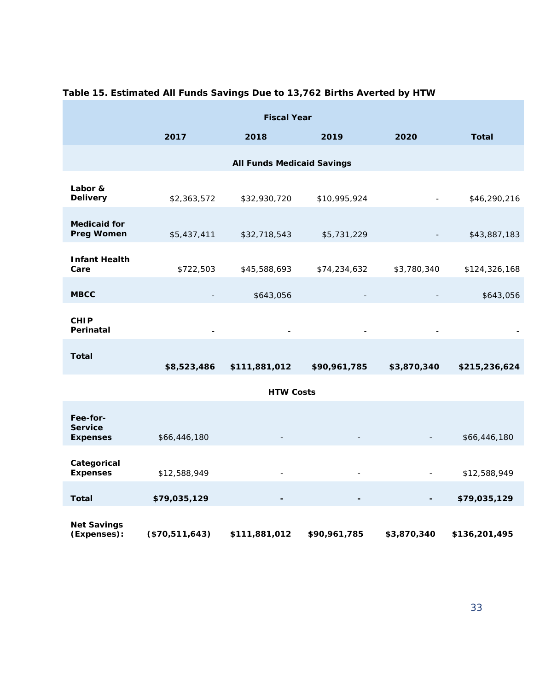| <b>Fiscal Year</b>                |                |                                   |                              |             |               |
|-----------------------------------|----------------|-----------------------------------|------------------------------|-------------|---------------|
|                                   | 2017           | 2018                              | 2019                         | 2020        | <b>Total</b>  |
|                                   |                | <b>All Funds Medicaid Savings</b> |                              |             |               |
|                                   |                |                                   |                              |             |               |
| Labor &<br><b>Delivery</b>        | \$2,363,572    | \$32,930,720                      | \$10,995,924                 |             | \$46,290,216  |
| <b>Medicaid for</b>               |                |                                   |                              |             |               |
| <b>Preg Women</b>                 | \$5,437,411    | \$32,718,543                      | \$5,731,229                  |             | \$43,887,183  |
| <b>Infant Health</b>              |                |                                   |                              |             |               |
| Care                              | \$722,503      | \$45,588,693                      | \$74,234,632                 | \$3,780,340 | \$124,326,168 |
| <b>MBCC</b>                       |                | \$643,056                         |                              |             | \$643,056     |
| <b>CHIP</b>                       |                |                                   |                              |             |               |
| Perinatal                         |                |                                   | $\overline{a}$               |             |               |
| <b>Total</b>                      |                |                                   |                              |             |               |
|                                   | \$8,523,486    | \$111,881,012                     | \$90,961,785                 | \$3,870,340 | \$215,236,624 |
| <b>HTW Costs</b>                  |                |                                   |                              |             |               |
| Fee-for-                          |                |                                   |                              |             |               |
| <b>Service</b><br><b>Expenses</b> | \$66,446,180   |                                   |                              |             | \$66,446,180  |
|                                   |                |                                   |                              |             |               |
| Categorical<br><b>Expenses</b>    | \$12,588,949   |                                   |                              |             | \$12,588,949  |
| <b>Total</b>                      | \$79,035,129   | $\overline{\phantom{a}}$          | $\qquad \qquad \blacksquare$ |             | \$79,035,129  |
|                                   |                |                                   |                              |             |               |
| <b>Net Savings</b><br>(Expenses): | (\$70,511,643) | \$111,881,012                     | \$90,961,785                 | \$3,870,340 | \$136,201,495 |

#### **Table 15. Estimated All Funds Savings Due to 13,762 Births Averted by HTW**

T.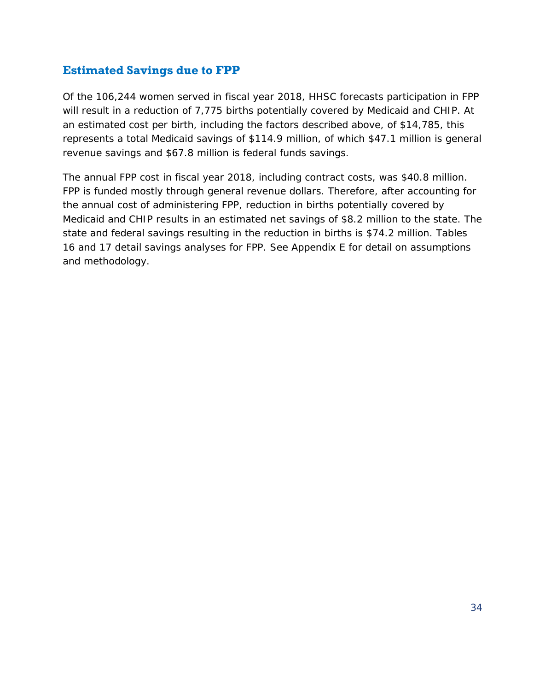#### **Estimated Savings due to FPP**

Of the 106,244 women served in fiscal year 2018, HHSC forecasts participation in FPP will result in a reduction of 7,775 births potentially covered by Medicaid and CHIP. At an estimated cost per birth, including the factors described above, of \$14,785, this represents a total Medicaid savings of \$114.9 million, of which \$47.1 million is general revenue savings and \$67.8 million is federal funds savings.

The annual FPP cost in fiscal year 2018, including contract costs, was \$40.8 million. FPP is funded mostly through general revenue dollars. Therefore, after accounting for the annual cost of administering FPP, reduction in births potentially covered by Medicaid and CHIP results in an estimated net savings of \$8.2 million to the state. The state and federal savings resulting in the reduction in births is \$74.2 million. Tables 16 and 17 detail savings analyses for FPP. See Appendix E for detail on assumptions and methodology.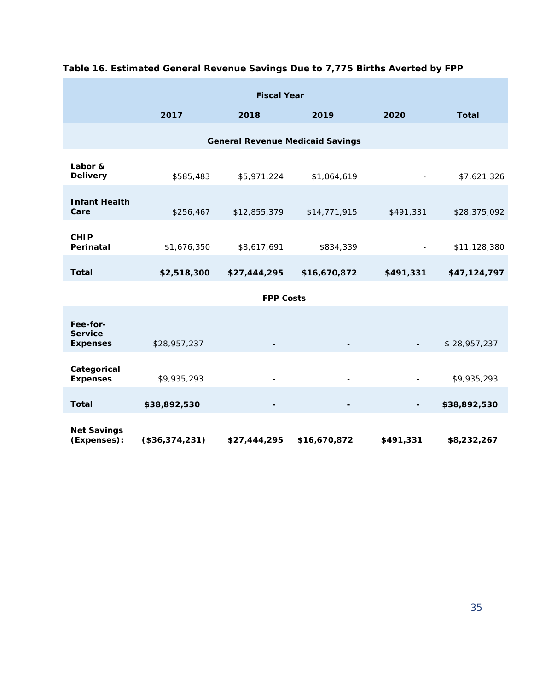| <b>Fiscal Year</b>                            |                |              |              |           |              |
|-----------------------------------------------|----------------|--------------|--------------|-----------|--------------|
|                                               | 2017           | 2018         | 2019         | 2020      | <b>Total</b> |
| <b>General Revenue Medicaid Savings</b>       |                |              |              |           |              |
| Labor &<br><b>Delivery</b>                    | \$585,483      | \$5,971,224  | \$1,064,619  |           | \$7,621,326  |
| <b>Infant Health</b><br>Care                  | \$256,467      | \$12,855,379 | \$14,771,915 | \$491,331 | \$28,375,092 |
| <b>CHIP</b><br>Perinatal                      | \$1,676,350    | \$8,617,691  | \$834,339    |           | \$11,128,380 |
| <b>Total</b>                                  | \$2,518,300    | \$27,444,295 | \$16,670,872 | \$491,331 | \$47,124,797 |
| <b>FPP Costs</b>                              |                |              |              |           |              |
| Fee-for-<br><b>Service</b><br><b>Expenses</b> | \$28,957,237   |              |              |           | \$28,957,237 |
| Categorical<br><b>Expenses</b>                | \$9,935,293    |              |              |           | \$9,935,293  |
| <b>Total</b>                                  | \$38,892,530   |              | -            |           | \$38,892,530 |
| <b>Net Savings</b><br>(Expenses):             | (\$36,374,231) | \$27,444,295 | \$16,670,872 | \$491,331 | \$8,232,267  |

#### **Table 16. Estimated General Revenue Savings Due to 7,775 Births Averted by FPP**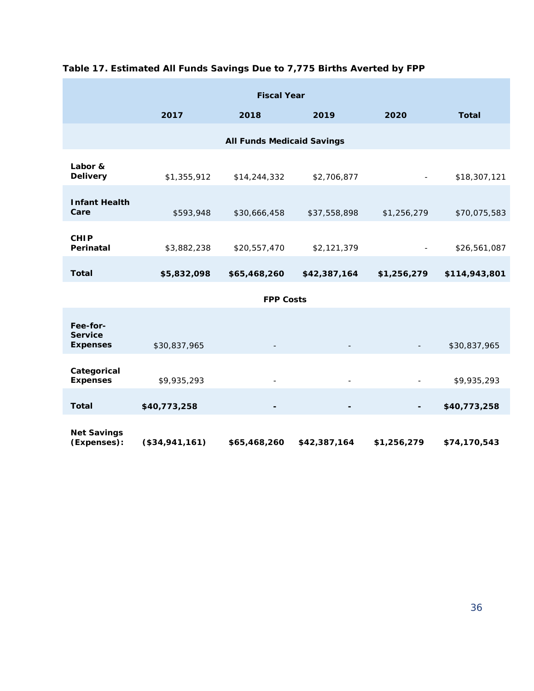| <b>Fiscal Year</b>                            |                |              |              |             |               |
|-----------------------------------------------|----------------|--------------|--------------|-------------|---------------|
|                                               | 2017           | 2018         | 2019         | 2020        | <b>Total</b>  |
| <b>All Funds Medicaid Savings</b>             |                |              |              |             |               |
| Labor &<br><b>Delivery</b>                    | \$1,355,912    | \$14,244,332 | \$2,706,877  |             | \$18,307,121  |
| <b>Infant Health</b><br>Care                  | \$593,948      | \$30,666,458 | \$37,558,898 | \$1,256,279 | \$70,075,583  |
| <b>CHIP</b><br>Perinatal                      | \$3,882,238    | \$20,557,470 | \$2,121,379  |             | \$26,561,087  |
| <b>Total</b>                                  | \$5,832,098    | \$65,468,260 | \$42,387,164 | \$1,256,279 | \$114,943,801 |
| <b>FPP Costs</b>                              |                |              |              |             |               |
| Fee-for-<br><b>Service</b><br><b>Expenses</b> | \$30,837,965   |              |              |             | \$30,837,965  |
| Categorical<br><b>Expenses</b>                | \$9,935,293    |              |              |             | \$9,935,293   |
| <b>Total</b>                                  | \$40,773,258   |              |              |             | \$40,773,258  |
| <b>Net Savings</b><br>(Expenses):             | (\$34,941,161) | \$65,468,260 | \$42,387,164 | \$1,256,279 | \$74,170,543  |

#### **Table 17. Estimated All Funds Savings Due to 7,775 Births Averted by FPP**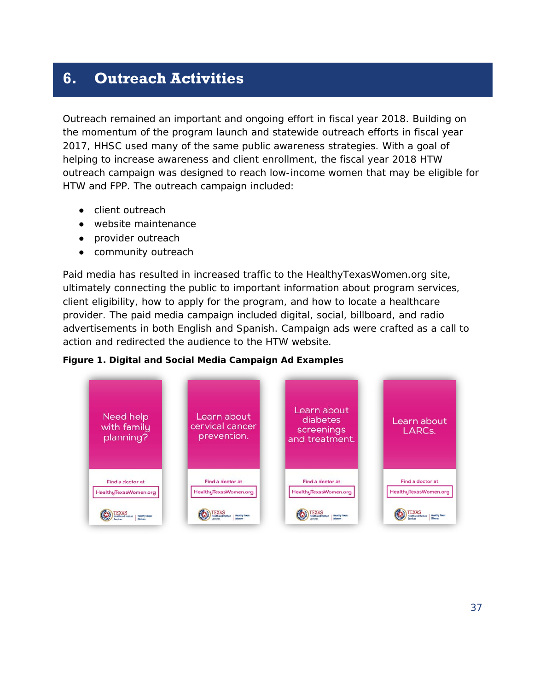# <span id="page-38-0"></span>**6. Outreach Activities**

Outreach remained an important and ongoing effort in fiscal year 2018. Building on the momentum of the program launch and statewide outreach efforts in fiscal year 2017, HHSC used many of the same public awareness strategies. With a goal of helping to increase awareness and client enrollment, the fiscal year 2018 HTW outreach campaign was designed to reach low-income women that may be eligible for HTW and FPP. The outreach campaign included:

- client outreach
- website maintenance
- provider outreach
- community outreach

Paid media has resulted in increased traffic to the HealthyTexasWomen.org site, ultimately connecting the public to important information about program services, client eligibility, how to apply for the program, and how to locate a healthcare provider. The paid media campaign included digital, social, billboard, and radio advertisements in both English and Spanish. Campaign ads were crafted as a call to action and redirected the audience to the HTW website.



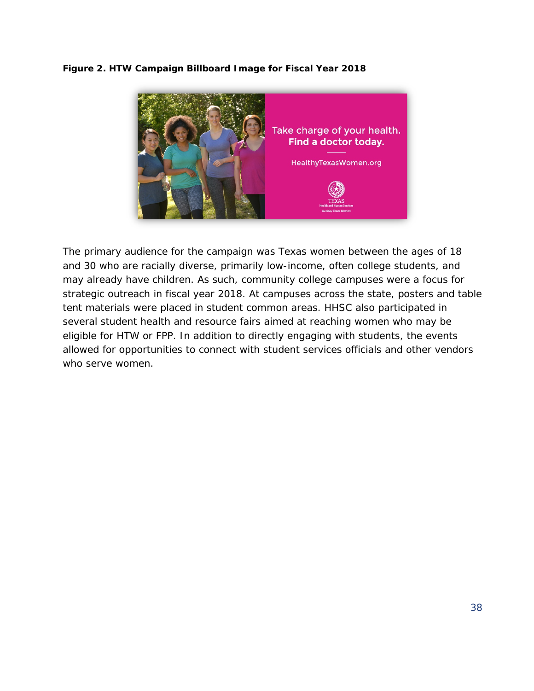#### **Figure 2. HTW Campaign Billboard Image for Fiscal Year 2018**



The primary audience for the campaign was Texas women between the ages of 18 and 30 who are racially diverse, primarily low-income, often college students, and may already have children. As such, community college campuses were a focus for strategic outreach in fiscal year 2018. At campuses across the state, posters and table tent materials were placed in student common areas. HHSC also participated in several student health and resource fairs aimed at reaching women who may be eligible for HTW or FPP. In addition to directly engaging with students, the events allowed for opportunities to connect with student services officials and other vendors who serve women.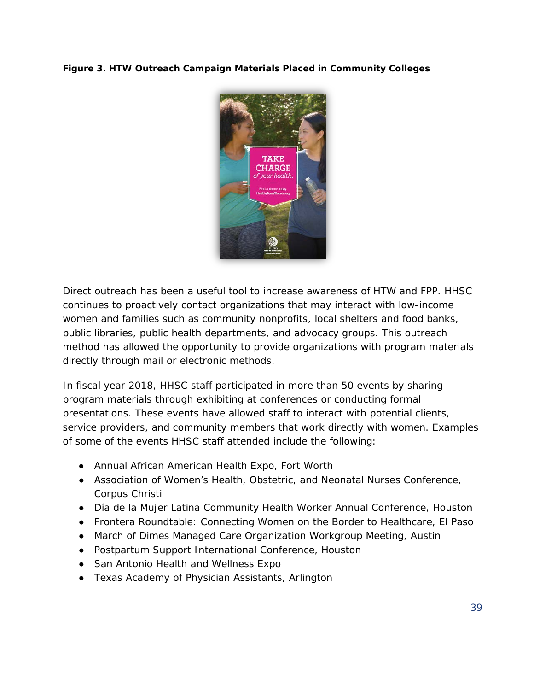#### **Figure 3. HTW Outreach Campaign Materials Placed in Community Colleges**



Direct outreach has been a useful tool to increase awareness of HTW and FPP. HHSC continues to proactively contact organizations that may interact with low-income women and families such as community nonprofits, local shelters and food banks, public libraries, public health departments, and advocacy groups. This outreach method has allowed the opportunity to provide organizations with program materials directly through mail or electronic methods.

In fiscal year 2018, HHSC staff participated in more than 50 events by sharing program materials through exhibiting at conferences or conducting formal presentations. These events have allowed staff to interact with potential clients, service providers, and community members that work directly with women. Examples of some of the events HHSC staff attended include the following:

- Annual African American Health Expo, Fort Worth
- Association of Women's Health, Obstetric, and Neonatal Nurses Conference, Corpus Christi
- Día de la Mujer Latina Community Health Worker Annual Conference, Houston
- Frontera Roundtable: Connecting Women on the Border to Healthcare, El Paso
- March of Dimes Managed Care Organization Workgroup Meeting, Austin
- Postpartum Support International Conference, Houston
- San Antonio Health and Wellness Expo
- Texas Academy of Physician Assistants, Arlington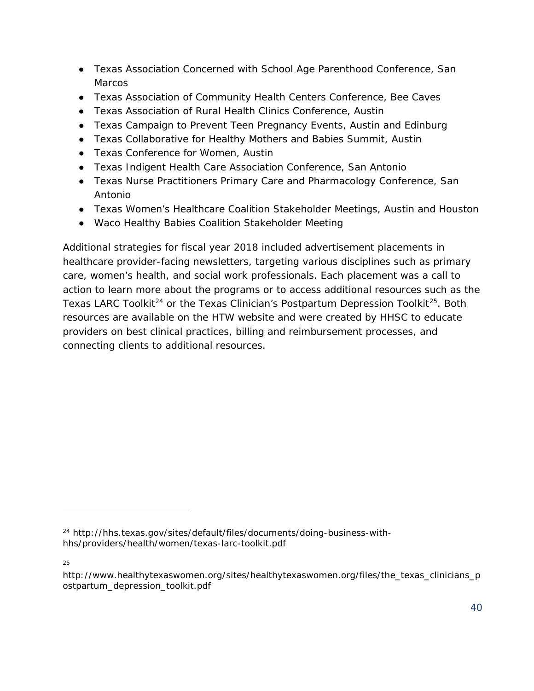- Texas Association Concerned with School Age Parenthood Conference, San **Marcos**
- Texas Association of Community Health Centers Conference, Bee Caves
- Texas Association of Rural Health Clinics Conference, Austin
- Texas Campaign to Prevent Teen Pregnancy Events, Austin and Edinburg
- Texas Collaborative for Healthy Mothers and Babies Summit, Austin
- Texas Conference for Women, Austin
- Texas Indigent Health Care Association Conference, San Antonio
- Texas Nurse Practitioners Primary Care and Pharmacology Conference, San Antonio
- Texas Women's Healthcare Coalition Stakeholder Meetings, Austin and Houston
- Waco Healthy Babies Coalition Stakeholder Meeting

Additional strategies for fiscal year 2018 included advertisement placements in healthcare provider-facing newsletters, targeting various disciplines such as primary care, women's health, and social work professionals. Each placement was a call to action to learn more about the programs or to access additional resources such as the *Texas LARC Toolki[t24](#page-41-0)* or the *Texas Clinician's Postpartum Depression Toolkit[25](#page-41-1)*. Both resources are available on the HTW website and were created by HHSC to educate providers on best clinical practices, billing and reimbursement processes, and connecting clients to additional resources.

25

l

<span id="page-41-0"></span><sup>24</sup> http://hhs.texas.gov/sites/default/files/documents/doing-business-withhhs/providers/health/women/texas-larc-toolkit.pdf

<span id="page-41-1"></span>http://www.healthytexaswomen.org/sites/healthytexaswomen.org/files/the\_texas\_clinicians\_p ostpartum\_depression\_toolkit.pdf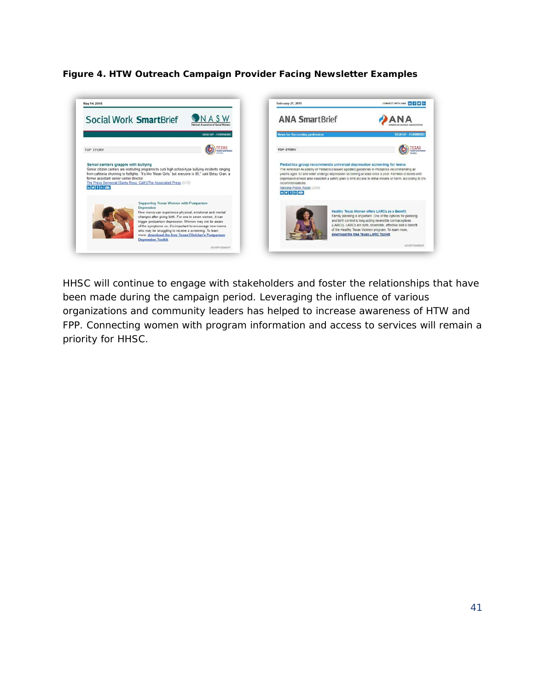#### **Figure 4. HTW Outreach Campaign Provider Facing Newsletter Examples**



HHSC will continue to engage with stakeholders and foster the relationships that have been made during the campaign period. Leveraging the influence of various organizations and community leaders has helped to increase awareness of HTW and FPP. Connecting women with program information and access to services will remain a priority for HHSC.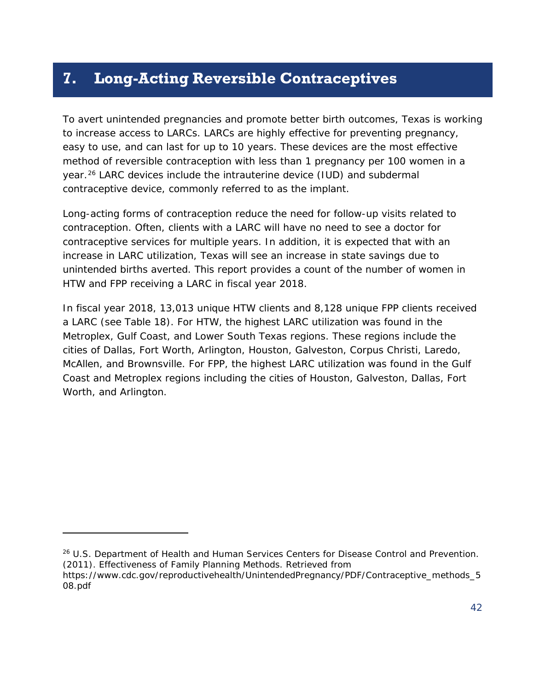### <span id="page-43-0"></span>**7. Long-Acting Reversible Contraceptives**

To avert unintended pregnancies and promote better birth outcomes, Texas is working to increase access to LARCs. LARCs are highly effective for preventing pregnancy, easy to use, and can last for up to 10 years. These devices are the most effective method of reversible contraception with less than 1 pregnancy per 100 women in a year.[26](#page-43-1) LARC devices include the intrauterine device (IUD) and subdermal contraceptive device, commonly referred to as the implant.

Long-acting forms of contraception reduce the need for follow-up visits related to contraception. Often, clients with a LARC will have no need to see a doctor for contraceptive services for multiple years. In addition, it is expected that with an increase in LARC utilization, Texas will see an increase in state savings due to unintended births averted. This report provides a count of the number of women in HTW and FPP receiving a LARC in fiscal year 2018.

In fiscal year 2018, 13,013 unique HTW clients and 8,128 unique FPP clients received a LARC (see Table 18). For HTW, the highest LARC utilization was found in the Metroplex, Gulf Coast, and Lower South Texas regions. These regions include the cities of Dallas, Fort Worth, Arlington, Houston, Galveston, Corpus Christi, Laredo, McAllen, and Brownsville. For FPP, the highest LARC utilization was found in the Gulf Coast and Metroplex regions including the cities of Houston, Galveston, Dallas, Fort Worth, and Arlington.

1

<span id="page-43-1"></span><sup>&</sup>lt;sup>26</sup> U.S. Department of Health and Human Services Centers for Disease Control and Prevention. (2011). *Effectiveness of Family Planning Methods*. Retrieved from

https://www.cdc.gov/reproductivehealth/UnintendedPregnancy/PDF/Contraceptive\_methods\_5 08.pdf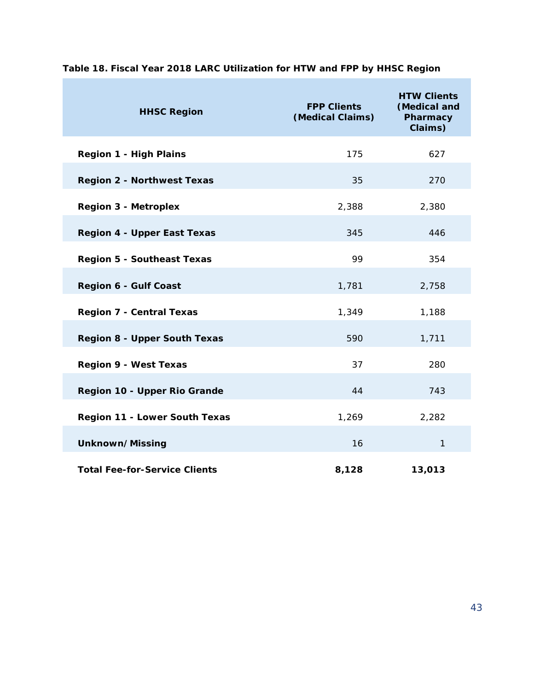| <b>HHSC Region</b>                   | <b>FPP Clients</b><br>(Medical Claims) | <b>HTW Clients</b><br>(Medical and<br>Pharmacy<br>Claims) |
|--------------------------------------|----------------------------------------|-----------------------------------------------------------|
| <b>Region 1 - High Plains</b>        | 175                                    | 627                                                       |
| <b>Region 2 - Northwest Texas</b>    | 35                                     | 270                                                       |
| <b>Region 3 - Metroplex</b>          | 2,388                                  | 2,380                                                     |
| <b>Region 4 - Upper East Texas</b>   | 345                                    | 446                                                       |
| <b>Region 5 - Southeast Texas</b>    | 99                                     | 354                                                       |
| <b>Region 6 - Gulf Coast</b>         | 1,781                                  | 2,758                                                     |
| <b>Region 7 - Central Texas</b>      | 1,349                                  | 1,188                                                     |
| <b>Region 8 - Upper South Texas</b>  | 590                                    | 1,711                                                     |
| <b>Region 9 - West Texas</b>         | 37                                     | 280                                                       |
| Region 10 - Upper Rio Grande         | 44                                     | 743                                                       |
| Region 11 - Lower South Texas        | 1,269                                  | 2,282                                                     |
| Unknown/Missing                      | 16                                     | $\mathbf{1}$                                              |
| <b>Total Fee-for-Service Clients</b> | 8,128                                  | 13,013                                                    |

#### **Table 18. Fiscal Year 2018 LARC Utilization for HTW and FPP by HHSC Region**

 $\mathcal{L}(\mathcal{A})$ 

 $\sim 10^{11}$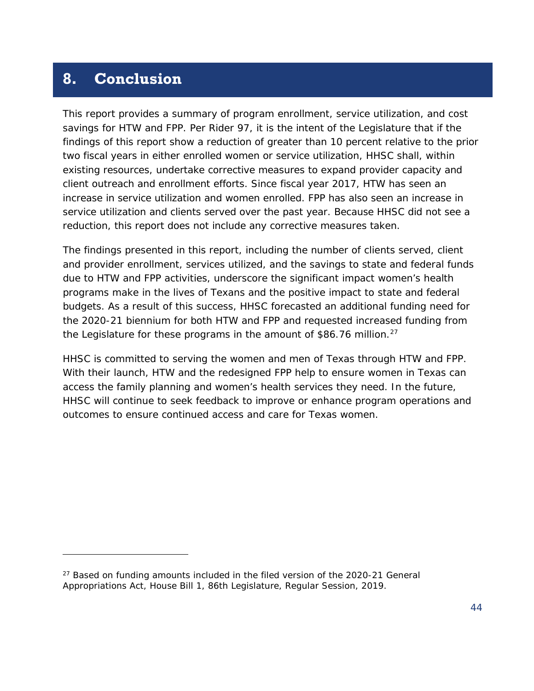# <span id="page-45-0"></span>**8. Conclusion**

1

This report provides a summary of program enrollment, service utilization, and cost savings for HTW and FPP. Per Rider 97, it is the intent of the Legislature that if the findings of this report show a reduction of greater than 10 percent relative to the prior two fiscal years in either enrolled women or service utilization, HHSC shall, within existing resources, undertake corrective measures to expand provider capacity and client outreach and enrollment efforts. Since fiscal year 2017, HTW has seen an increase in service utilization and women enrolled. FPP has also seen an increase in service utilization and clients served over the past year. Because HHSC did not see a reduction, this report does not include any corrective measures taken.

The findings presented in this report, including the number of clients served, client and provider enrollment, services utilized, and the savings to state and federal funds due to HTW and FPP activities, underscore the significant impact women's health programs make in the lives of Texans and the positive impact to state and federal budgets. As a result of this success, HHSC forecasted an additional funding need for the 2020-21 biennium for both HTW and FPP and requested increased funding from the Legislature for these programs in the amount of \$86.76 million.<sup>[27](#page-45-1)</sup>

HHSC is committed to serving the women and men of Texas through HTW and FPP. With their launch, HTW and the redesigned FPP help to ensure women in Texas can access the family planning and women's health services they need. In the future, HHSC will continue to seek feedback to improve or enhance program operations and outcomes to ensure continued access and care for Texas women.

<span id="page-45-1"></span> $27$  Based on funding amounts included in the filed version of the 2020-21 General Appropriations Act, House Bill 1, 86th Legislature, Regular Session, 2019.